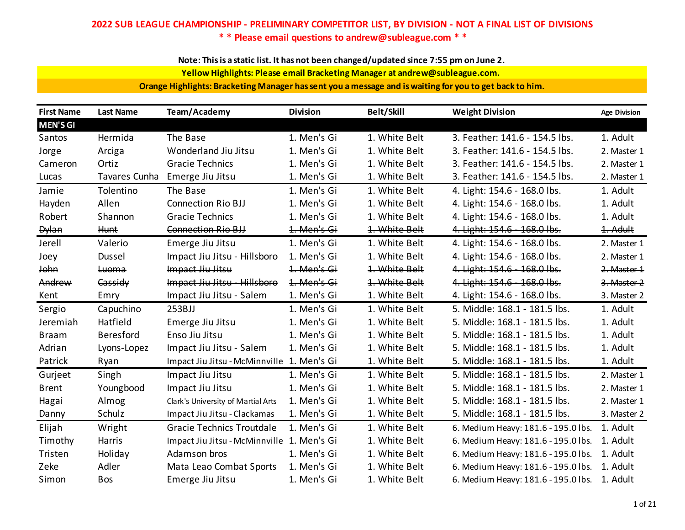**Note: This is a static list. It has not been changed/updated since 7:55 pm on June 2.**

**Yellow Highlights: Please email Bracketing Manager at andrew@subleague.com.** 

**Orange Highlights: Bracketing Manager has sent you a message and is waiting for you to get back to him.**

| <b>First Name</b> | <b>Last Name</b> | Team/Academy                               | <b>Division</b> | <b>Belt/Skill</b> | <b>Weight Division</b>              | <b>Age Division</b> |
|-------------------|------------------|--------------------------------------------|-----------------|-------------------|-------------------------------------|---------------------|
| <b>MEN'S GI</b>   |                  |                                            |                 |                   |                                     |                     |
| Santos            | Hermida          | The Base                                   | 1. Men's Gi     | 1. White Belt     | 3. Feather: 141.6 - 154.5 lbs.      | 1. Adult            |
| Jorge             | Arciga           | Wonderland Jiu Jitsu                       | 1. Men's Gi     | 1. White Belt     | 3. Feather: 141.6 - 154.5 lbs.      | 2. Master 1         |
| Cameron           | Ortiz            | <b>Gracie Technics</b>                     | 1. Men's Gi     | 1. White Belt     | 3. Feather: 141.6 - 154.5 lbs.      | 2. Master 1         |
| Lucas             | Tavares Cunha    | Emerge Jiu Jitsu                           | 1. Men's Gi     | 1. White Belt     | 3. Feather: 141.6 - 154.5 lbs.      | 2. Master 1         |
| Jamie             | Tolentino        | The Base                                   | 1. Men's Gi     | 1. White Belt     | 4. Light: 154.6 - 168.0 lbs.        | 1. Adult            |
| Hayden            | Allen            | <b>Connection Rio BJJ</b>                  | 1. Men's Gi     | 1. White Belt     | 4. Light: 154.6 - 168.0 lbs.        | 1. Adult            |
| Robert            | Shannon          | <b>Gracie Technics</b>                     | 1. Men's Gi     | 1. White Belt     | 4. Light: 154.6 - 168.0 lbs.        | 1. Adult            |
| <b>Dylan</b>      | <b>Hunt</b>      | <b>Connection Rio BJJ</b>                  | 1. Men's Gi     | 1. White Belt     | 4. Light: 154.6 - 168.0 lbs.        | 1. Adult            |
| Jerell            | Valerio          | Emerge Jiu Jitsu                           | 1. Men's Gi     | 1. White Belt     | 4. Light: 154.6 - 168.0 lbs.        | 2. Master 1         |
| Joey              | Dussel           | Impact Jiu Jitsu - Hillsboro               | 1. Men's Gi     | 1. White Belt     | 4. Light: 154.6 - 168.0 lbs.        | 2. Master 1         |
| <b>John</b>       | Luoma            | Impact Jiu Jitsu                           | 1. Men's Gi     | 1. White Belt     | 4. Light: 154.6 - 168.0 lbs.        | 2. Master 1         |
| Andrew            | Cassidy          | Impact Jiu Jitsu - Hillsboro               | 1. Men's Gi     | 1. White Belt     | 4. Light: 154.6 - 168.0 lbs.        | 3. Master 2         |
| Kent              | Emry             | Impact Jiu Jitsu - Salem                   | 1. Men's Gi     | 1. White Belt     | 4. Light: 154.6 - 168.0 lbs.        | 3. Master 2         |
| Sergio            | Capuchino        | 253BJJ                                     | 1. Men's Gi     | 1. White Belt     | 5. Middle: 168.1 - 181.5 lbs.       | 1. Adult            |
| Jeremiah          | Hatfield         | Emerge Jiu Jitsu                           | 1. Men's Gi     | 1. White Belt     | 5. Middle: 168.1 - 181.5 lbs.       | 1. Adult            |
| <b>Braam</b>      | <b>Beresford</b> | Enso Jiu Jitsu                             | 1. Men's Gi     | 1. White Belt     | 5. Middle: 168.1 - 181.5 lbs.       | 1. Adult            |
| Adrian            | Lyons-Lopez      | Impact Jiu Jitsu - Salem                   | 1. Men's Gi     | 1. White Belt     | 5. Middle: 168.1 - 181.5 lbs.       | 1. Adult            |
| Patrick           | Ryan             | Impact Jiu Jitsu - McMinnville             | 1. Men's Gi     | 1. White Belt     | 5. Middle: 168.1 - 181.5 lbs.       | 1. Adult            |
| Gurjeet           | Singh            | Impact Jiu Jitsu                           | 1. Men's Gi     | 1. White Belt     | 5. Middle: 168.1 - 181.5 lbs.       | 2. Master 1         |
| <b>Brent</b>      | Youngbood        | Impact Jiu Jitsu                           | 1. Men's Gi     | 1. White Belt     | 5. Middle: 168.1 - 181.5 lbs.       | 2. Master 1         |
| Hagai             | Almog            | Clark's University of Martial Arts         | 1. Men's Gi     | 1. White Belt     | 5. Middle: 168.1 - 181.5 lbs.       | 2. Master 1         |
| Danny             | Schulz           | Impact Jiu Jitsu - Clackamas               | 1. Men's Gi     | 1. White Belt     | 5. Middle: 168.1 - 181.5 lbs.       | 3. Master 2         |
| Elijah            | Wright           | <b>Gracie Technics Troutdale</b>           | 1. Men's Gi     | 1. White Belt     | 6. Medium Heavy: 181.6 - 195.0 lbs. | 1. Adult            |
| Timothy           | Harris           | Impact Jiu Jitsu - McMinnville 1. Men's Gi |                 | 1. White Belt     | 6. Medium Heavy: 181.6 - 195.0 lbs. | 1. Adult            |
| Tristen           | Holiday          | Adamson bros                               | 1. Men's Gi     | 1. White Belt     | 6. Medium Heavy: 181.6 - 195.0 lbs. | 1. Adult            |
| Zeke              | Adler            | Mata Leao Combat Sports                    | 1. Men's Gi     | 1. White Belt     | 6. Medium Heavy: 181.6 - 195.0 lbs. | 1. Adult            |
| Simon             | Bos              | Emerge Jiu Jitsu                           | 1. Men's Gi     | 1. White Belt     | 6. Medium Heavy: 181.6 - 195.0 lbs. | 1. Adult            |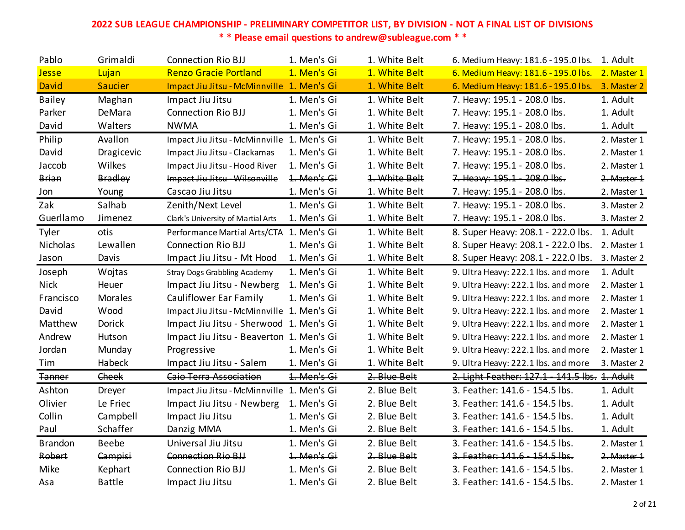| Pablo          | Grimaldi       | <b>Connection Rio BJJ</b>                  | 1. Men's Gi | 1. White Belt | 6. Medium Heavy: 181.6 - 195.0 lbs.           | 1. Adult    |
|----------------|----------------|--------------------------------------------|-------------|---------------|-----------------------------------------------|-------------|
| <b>Jesse</b>   | Lujan          | <b>Renzo Gracie Portland</b>               | 1. Men's Gi | 1. White Belt | 6. Medium Heavy: 181.6 - 195.0 lbs.           | 2. Master 1 |
| David          | <b>Saucier</b> | Impact Jiu Jitsu - McMinnville 1. Men's Gi |             | 1. White Belt | 6. Medium Heavy: 181.6 - 195.0 lbs.           | 3. Master 2 |
| <b>Bailey</b>  | Maghan         | Impact Jiu Jitsu                           | 1. Men's Gi | 1. White Belt | 7. Heavy: 195.1 - 208.0 lbs.                  | 1. Adult    |
| Parker         | DeMara         | <b>Connection Rio BJJ</b>                  | 1. Men's Gi | 1. White Belt | 7. Heavy: 195.1 - 208.0 lbs.                  | 1. Adult    |
| David          | Walters        | <b>NWMA</b>                                | 1. Men's Gi | 1. White Belt | 7. Heavy: 195.1 - 208.0 lbs.                  | 1. Adult    |
| Philip         | Avallon        | Impact Jiu Jitsu - McMinnville 1. Men's Gi |             | 1. White Belt | 7. Heavy: 195.1 - 208.0 lbs.                  | 2. Master 1 |
| David          | Dragicevic     | Impact Jiu Jitsu - Clackamas               | 1. Men's Gi | 1. White Belt | 7. Heavy: 195.1 - 208.0 lbs.                  | 2. Master 1 |
| Jaccob         | Wilkes         | Impact Jiu Jitsu - Hood River              | 1. Men's Gi | 1. White Belt | 7. Heavy: 195.1 - 208.0 lbs.                  | 2. Master 1 |
| Brian          | <b>Bradley</b> | Impact Jiu Jitsu - Wilsonville             | 1. Men's Gi | 1. White Belt | 7. Heavy: 195.1 - 208.0 lbs.                  | 2. Master 1 |
| Jon            | Young          | Cascao Jiu Jitsu                           | 1. Men's Gi | 1. White Belt | 7. Heavy: 195.1 - 208.0 lbs.                  | 2. Master 1 |
| Zak            | Salhab         | Zenith/Next Level                          | 1. Men's Gi | 1. White Belt | 7. Heavy: 195.1 - 208.0 lbs.                  | 3. Master 2 |
| Guerllamo      | Jimenez        | Clark's University of Martial Arts         | 1. Men's Gi | 1. White Belt | 7. Heavy: 195.1 - 208.0 lbs.                  | 3. Master 2 |
| Tyler          | otis           | Performance Martial Arts/CTA 1. Men's Gi   |             | 1. White Belt | 8. Super Heavy: 208.1 - 222.0 lbs.            | 1. Adult    |
| Nicholas       | Lewallen       | <b>Connection Rio BJJ</b>                  | 1. Men's Gi | 1. White Belt | 8. Super Heavy: 208.1 - 222.0 lbs.            | 2. Master 1 |
| Jason          | Davis          | Impact Jiu Jitsu - Mt Hood                 | 1. Men's Gi | 1. White Belt | 8. Super Heavy: 208.1 - 222.0 lbs.            | 3. Master 2 |
| Joseph         | Wojtas         | <b>Stray Dogs Grabbling Academy</b>        | 1. Men's Gi | 1. White Belt | 9. Ultra Heavy: 222.1 lbs. and more           | 1. Adult    |
| <b>Nick</b>    | Heuer          | Impact Jiu Jitsu - Newberg                 | 1. Men's Gi | 1. White Belt | 9. Ultra Heavy: 222.1 lbs. and more           | 2. Master 1 |
| Francisco      | <b>Morales</b> | Cauliflower Ear Family                     | 1. Men's Gi | 1. White Belt | 9. Ultra Heavy: 222.1 lbs. and more           | 2. Master 1 |
| David          | Wood           | Impact Jiu Jitsu - McMinnville 1. Men's Gi |             | 1. White Belt | 9. Ultra Heavy: 222.1 lbs. and more           | 2. Master 1 |
| Matthew        | Dorick         | Impact Jiu Jitsu - Sherwood 1. Men's Gi    |             | 1. White Belt | 9. Ultra Heavy: 222.1 lbs. and more           | 2. Master 1 |
| Andrew         | Hutson         | Impact Jiu Jitsu - Beaverton 1. Men's Gi   |             | 1. White Belt | 9. Ultra Heavy: 222.1 lbs. and more           | 2. Master 1 |
| Jordan         | Munday         | Progressive                                | 1. Men's Gi | 1. White Belt | 9. Ultra Heavy: 222.1 lbs. and more           | 2. Master 1 |
| Tim            | Habeck         | Impact Jiu Jitsu - Salem                   | 1. Men's Gi | 1. White Belt | 9. Ultra Heavy: 222.1 lbs. and more           | 3. Master 2 |
| <b>Tanner</b>  | Cheek          | Caio Terra Association                     | 1. Men's Gi | 2. Blue Belt  | 2. Light Feather: 127.1 - 141.5 lbs. 1. Adult |             |
| Ashton         | Dreyer         | Impact Jiu Jitsu - McMinnville 1. Men's Gi |             | 2. Blue Belt  | 3. Feather: 141.6 - 154.5 lbs.                | 1. Adult    |
| Olivier        | Le Friec       | Impact Jiu Jitsu - Newberg                 | 1. Men's Gi | 2. Blue Belt  | 3. Feather: 141.6 - 154.5 lbs.                | 1. Adult    |
| Collin         | Campbell       | Impact Jiu Jitsu                           | 1. Men's Gi | 2. Blue Belt  | 3. Feather: 141.6 - 154.5 lbs.                | 1. Adult    |
| Paul           | Schaffer       | Danzig MMA                                 | 1. Men's Gi | 2. Blue Belt  | 3. Feather: 141.6 - 154.5 lbs.                | 1. Adult    |
| <b>Brandon</b> | <b>Beebe</b>   | Universal Jiu Jitsu                        | 1. Men's Gi | 2. Blue Belt  | 3. Feather: 141.6 - 154.5 lbs.                | 2. Master 1 |
| Robert         | Campisi        | Connection Rio BJJ                         | 1. Men's Gi | 2. Blue Belt  | 3. Feather: 141.6 - 154.5 lbs.                | 2. Master 1 |
| Mike           | Kephart        | <b>Connection Rio BJJ</b>                  | 1. Men's Gi | 2. Blue Belt  | 3. Feather: 141.6 - 154.5 lbs.                | 2. Master 1 |
| Asa            | <b>Battle</b>  | Impact Jiu Jitsu                           | 1. Men's Gi | 2. Blue Belt  | 3. Feather: 141.6 - 154.5 lbs.                | 2. Master 1 |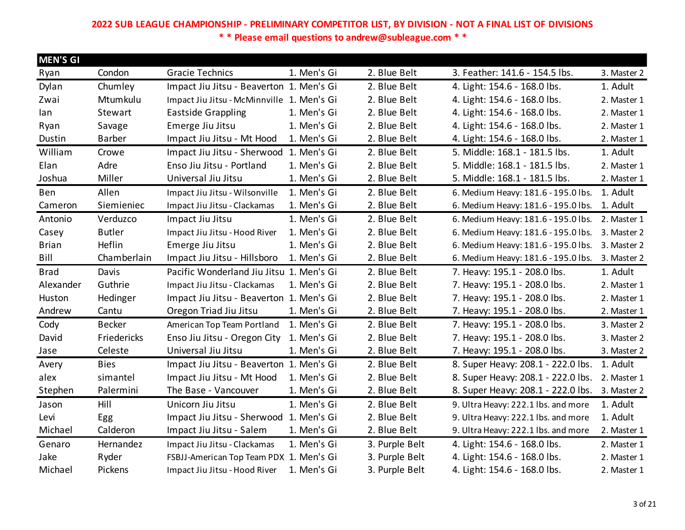| <b>MEN'S GI</b> |               |                                            |             |                |                                     |             |
|-----------------|---------------|--------------------------------------------|-------------|----------------|-------------------------------------|-------------|
| Ryan            | Condon        | <b>Gracie Technics</b>                     | 1. Men's Gi | 2. Blue Belt   | 3. Feather: 141.6 - 154.5 lbs.      | 3. Master 2 |
| Dylan           | Chumley       | Impact Jiu Jitsu - Beaverton 1. Men's Gi   |             | 2. Blue Belt   | 4. Light: 154.6 - 168.0 lbs.        | 1. Adult    |
| Zwai            | Mtumkulu      | Impact Jiu Jitsu - McMinnville 1. Men's Gi |             | 2. Blue Belt   | 4. Light: 154.6 - 168.0 lbs.        | 2. Master 1 |
| lan             | Stewart       | <b>Eastside Grappling</b>                  | 1. Men's Gi | 2. Blue Belt   | 4. Light: 154.6 - 168.0 lbs.        | 2. Master 1 |
| Ryan            | Savage        | Emerge Jiu Jitsu                           | 1. Men's Gi | 2. Blue Belt   | 4. Light: 154.6 - 168.0 lbs.        | 2. Master 1 |
| Dustin          | <b>Barber</b> | Impact Jiu Jitsu - Mt Hood                 | 1. Men's Gi | 2. Blue Belt   | 4. Light: 154.6 - 168.0 lbs.        | 2. Master 1 |
| William         | Crowe         | Impact Jiu Jitsu - Sherwood 1. Men's Gi    |             | 2. Blue Belt   | 5. Middle: 168.1 - 181.5 lbs.       | 1. Adult    |
| Elan            | Adre          | Enso Jiu Jitsu - Portland                  | 1. Men's Gi | 2. Blue Belt   | 5. Middle: 168.1 - 181.5 lbs.       | 2. Master 1 |
| Joshua          | Miller        | Universal Jiu Jitsu                        | 1. Men's Gi | 2. Blue Belt   | 5. Middle: 168.1 - 181.5 lbs.       | 2. Master 1 |
| Ben             | Allen         | Impact Jiu Jitsu - Wilsonville             | 1. Men's Gi | 2. Blue Belt   | 6. Medium Heavy: 181.6 - 195.0 lbs. | 1. Adult    |
| Cameron         | Siemieniec    | Impact Jiu Jitsu - Clackamas               | 1. Men's Gi | 2. Blue Belt   | 6. Medium Heavy: 181.6 - 195.0 lbs. | 1. Adult    |
| Antonio         | Verduzco      | Impact Jiu Jitsu                           | 1. Men's Gi | 2. Blue Belt   | 6. Medium Heavy: 181.6 - 195.0 lbs. | 2. Master 1 |
| Casey           | <b>Butler</b> | Impact Jiu Jitsu - Hood River              | 1. Men's Gi | 2. Blue Belt   | 6. Medium Heavy: 181.6 - 195.0 lbs. | 3. Master 2 |
| <b>Brian</b>    | Heflin        | Emerge Jiu Jitsu                           | 1. Men's Gi | 2. Blue Belt   | 6. Medium Heavy: 181.6 - 195.0 lbs. | 3. Master 2 |
| Bill            | Chamberlain   | Impact Jiu Jitsu - Hillsboro               | 1. Men's Gi | 2. Blue Belt   | 6. Medium Heavy: 181.6 - 195.0 lbs. | 3. Master 2 |
| <b>Brad</b>     | Davis         | Pacific Wonderland Jiu Jitsu 1. Men's Gi   |             | 2. Blue Belt   | 7. Heavy: 195.1 - 208.0 lbs.        | 1. Adult    |
| Alexander       | Guthrie       | Impact Jiu Jitsu - Clackamas               | 1. Men's Gi | 2. Blue Belt   | 7. Heavy: 195.1 - 208.0 lbs.        | 2. Master 1 |
| Huston          | Hedinger      | Impact Jiu Jitsu - Beaverton 1. Men's Gi   |             | 2. Blue Belt   | 7. Heavy: 195.1 - 208.0 lbs.        | 2. Master 1 |
| Andrew          | Cantu         | Oregon Triad Jiu Jitsu                     | 1. Men's Gi | 2. Blue Belt   | 7. Heavy: 195.1 - 208.0 lbs.        | 2. Master 1 |
| Cody            | <b>Becker</b> | American Top Team Portland                 | 1. Men's Gi | 2. Blue Belt   | 7. Heavy: 195.1 - 208.0 lbs.        | 3. Master 2 |
| David           | Friedericks   | Enso Jiu Jitsu - Oregon City               | 1. Men's Gi | 2. Blue Belt   | 7. Heavy: 195.1 - 208.0 lbs.        | 3. Master 2 |
| Jase            | Celeste       | Universal Jiu Jitsu                        | 1. Men's Gi | 2. Blue Belt   | 7. Heavy: 195.1 - 208.0 lbs.        | 3. Master 2 |
| Avery           | <b>Bies</b>   | Impact Jiu Jitsu - Beaverton 1. Men's Gi   |             |                |                                     |             |
| alex            |               |                                            |             | 2. Blue Belt   | 8. Super Heavy: 208.1 - 222.0 lbs.  | 1. Adult    |
|                 | simantel      | Impact Jiu Jitsu - Mt Hood                 | 1. Men's Gi | 2. Blue Belt   | 8. Super Heavy: 208.1 - 222.0 lbs.  | 2. Master 1 |
| Stephen         | Palermini     | The Base - Vancouver                       | 1. Men's Gi | 2. Blue Belt   | 8. Super Heavy: 208.1 - 222.0 lbs.  | 3. Master 2 |
| Jason           | Hill          | Unicorn Jiu Jitsu                          | 1. Men's Gi | 2. Blue Belt   | 9. Ultra Heavy: 222.1 lbs. and more | 1. Adult    |
| Levi            | Egg           | Impact Jiu Jitsu - Sherwood 1. Men's Gi    |             | 2. Blue Belt   | 9. Ultra Heavy: 222.1 lbs. and more | 1. Adult    |
| Michael         | Calderon      | Impact Jiu Jitsu - Salem                   | 1. Men's Gi | 2. Blue Belt   | 9. Ultra Heavy: 222.1 lbs. and more | 2. Master 1 |
| Genaro          | Hernandez     | Impact Jiu Jitsu - Clackamas               | 1. Men's Gi | 3. Purple Belt | 4. Light: 154.6 - 168.0 lbs.        | 2. Master 1 |
| Jake            | Ryder         | FSBJJ-American Top Team PDX 1. Men's Gi    |             | 3. Purple Belt | 4. Light: 154.6 - 168.0 lbs.        | 2. Master 1 |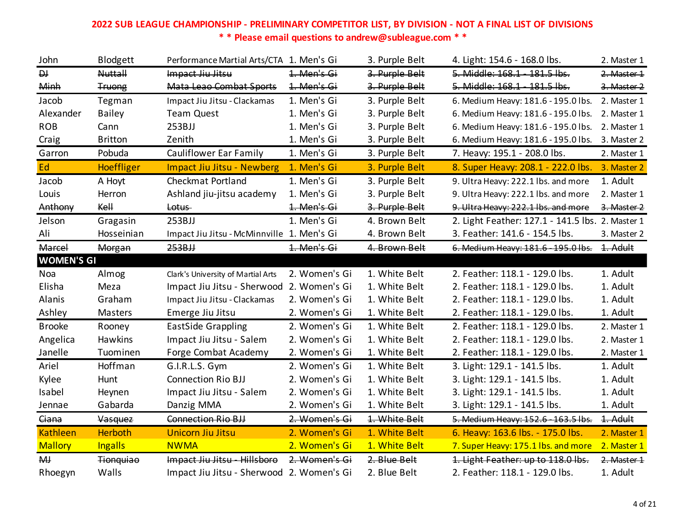| John              | <b>Blodgett</b>  | Performance Martial Arts/CTA 1. Men's Gi   |               | 3. Purple Belt | 4. Light: 154.6 - 168.0 lbs.                     | 2. Master 1 |
|-------------------|------------------|--------------------------------------------|---------------|----------------|--------------------------------------------------|-------------|
| $\overline{p}$    | <b>Nuttall</b>   | Impact Jiu Jitsu                           | 1. Men's Gi   | 3. Purple Belt | 5. Middle: 168.1 - 181.5 lbs.                    | 2. Master 1 |
| Minh              | <b>Truong</b>    | Mata Leao Combat Sports                    | 1. Men's Gi   | 3. Purple Belt | 5. Middle: 168.1 - 181.5 lbs.                    | 3. Master 2 |
| Jacob             | Tegman           | Impact Jiu Jitsu - Clackamas               | 1. Men's Gi   | 3. Purple Belt | 6. Medium Heavy: 181.6 - 195.0 lbs.              | 2. Master 1 |
| Alexander         | <b>Bailey</b>    | <b>Team Quest</b>                          | 1. Men's Gi   | 3. Purple Belt | 6. Medium Heavy: 181.6 - 195.0 lbs.              | 2. Master 1 |
| <b>ROB</b>        | Cann             | 253BJJ                                     | 1. Men's Gi   | 3. Purple Belt | 6. Medium Heavy: 181.6 - 195.0 lbs.              | 2. Master 1 |
| Craig             | <b>Britton</b>   | Zenith                                     | 1. Men's Gi   | 3. Purple Belt | 6. Medium Heavy: 181.6 - 195.0 lbs.              | 3. Master 2 |
| Garron            | Pobuda           | Cauliflower Ear Family                     | 1. Men's Gi   | 3. Purple Belt | 7. Heavy: 195.1 - 208.0 lbs.                     | 2. Master 1 |
| Ed                | Hoeffliger       | <b>Impact Jiu Jitsu - Newberg</b>          | 1. Men's Gi   | 3. Purple Belt | 8. Super Heavy: 208.1 - 222.0 lbs.               | 3. Master 2 |
| Jacob             | A Hoyt           | <b>Checkmat Portland</b>                   | 1. Men's Gi   | 3. Purple Belt | 9. Ultra Heavy: 222.1 lbs. and more              | 1. Adult    |
| Louis             | Herron           | Ashland jiu-jitsu academy                  | 1. Men's Gi   | 3. Purple Belt | 9. Ultra Heavy: 222.1 lbs. and more              | 2. Master 1 |
| Anthony           | Kell             | Lotus-                                     | 1. Men's Gi   | 3. Purple Belt | 9. Ultra Heavy: 222.1 lbs. and more              | 3. Master 2 |
| Jelson            | Gragasin         | 253BJJ                                     | 1. Men's Gi   | 4. Brown Belt  | 2. Light Feather: 127.1 - 141.5 lbs. 2. Master 1 |             |
| Ali               | Hosseinian       | Impact Jiu Jitsu - McMinnville 1. Men's Gi |               | 4. Brown Belt  | 3. Feather: 141.6 - 154.5 lbs.                   | 3. Master 2 |
| Marcel            | Morgan           | 253BJJ                                     | 1. Men's Gi   | 4. Brown Belt  | 6. Medium Heavy: 181.6 - 195.0 lbs.              | 1. Adult    |
| <b>WOMEN'S GI</b> |                  |                                            |               |                |                                                  |             |
| Noa               | Almog            | Clark's University of Martial Arts         | 2. Women's Gi | 1. White Belt  | 2. Feather: 118.1 - 129.0 lbs.                   | 1. Adult    |
| Elisha            | Meza             | Impact Jiu Jitsu - Sherwood                | 2. Women's Gi | 1. White Belt  | 2. Feather: 118.1 - 129.0 lbs.                   | 1. Adult    |
| Alanis            | Graham           | Impact Jiu Jitsu - Clackamas               | 2. Women's Gi | 1. White Belt  | 2. Feather: 118.1 - 129.0 lbs.                   | 1. Adult    |
| Ashley            | Masters          | Emerge Jiu Jitsu                           | 2. Women's Gi | 1. White Belt  | 2. Feather: 118.1 - 129.0 lbs.                   | 1. Adult    |
| <b>Brooke</b>     | Rooney           | <b>EastSide Grappling</b>                  | 2. Women's Gi | 1. White Belt  | 2. Feather: 118.1 - 129.0 lbs.                   | 2. Master 1 |
| Angelica          | Hawkins          | Impact Jiu Jitsu - Salem                   | 2. Women's Gi | 1. White Belt  | 2. Feather: 118.1 - 129.0 lbs.                   | 2. Master 1 |
| Janelle           | Tuominen         | Forge Combat Academy                       | 2. Women's Gi | 1. White Belt  | 2. Feather: 118.1 - 129.0 lbs.                   | 2. Master 1 |
| Ariel             | Hoffman          | G.I.R.L.S. Gym                             | 2. Women's Gi | 1. White Belt  | 3. Light: 129.1 - 141.5 lbs.                     | 1. Adult    |
| Kylee             | Hunt             | <b>Connection Rio BJJ</b>                  | 2. Women's Gi | 1. White Belt  | 3. Light: 129.1 - 141.5 lbs.                     | 1. Adult    |
| Isabel            | Heynen           | Impact Jiu Jitsu - Salem                   | 2. Women's Gi | 1. White Belt  | 3. Light: 129.1 - 141.5 lbs.                     | 1. Adult    |
| Jennae            | Gabarda          | Danzig MMA                                 | 2. Women's Gi | 1. White Belt  | 3. Light: 129.1 - 141.5 lbs.                     | 1. Adult    |
| Giana             | Vasquez          | Connection Rio BJJ                         | 2. Women's Gi | 1. White Belt  | 5. Medium Heavy: 152.6 - 163.5 lbs.              | 1. Adult    |
| <b>Kathleen</b>   | <b>Herboth</b>   | <b>Unicorn Jiu Jitsu</b>                   | 2. Women's Gi | 1. White Belt  | 6. Heavy: 163.6 lbs. - 175.0 lbs.                | 2. Master 1 |
| <b>Mallory</b>    | <b>Ingalls</b>   | <b>NWMA</b>                                | 2. Women's Gi | 1. White Belt  | 7. Super Heavy: 175.1 lbs. and more              | 2. Master 1 |
| $H +$             | <b>Tionquiao</b> | Impact Jiu Jitsu - Hillsboro               | 2. Women's Gi | 2. Blue Belt   | 1. Light Feather: up to 118.0 lbs.               | 2. Master 1 |
| Rhoegyn           | Walls            | Impact Jiu Jitsu - Sherwood                | 2. Women's Gi | 2. Blue Belt   | 2. Feather: 118.1 - 129.0 lbs.                   | 1. Adult    |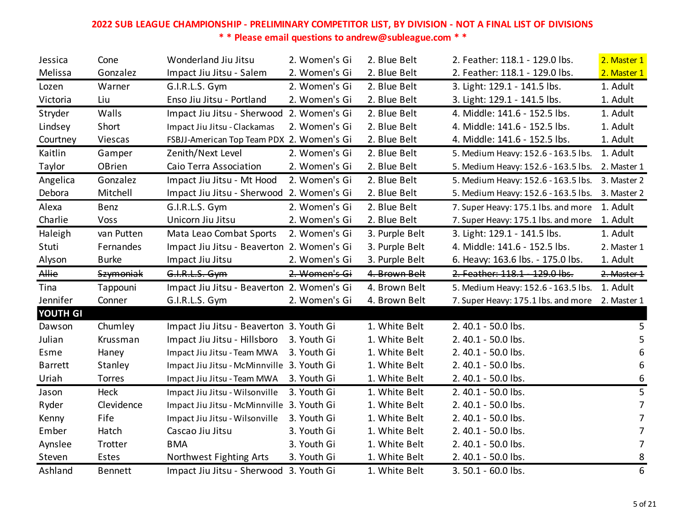| Jessica        | Cone         | Wonderland Jiu Jitsu                       | 2. Women's Gi | 2. Blue Belt   | 2. Feather: 118.1 - 129.0 lbs.      | 2. Master 1    |
|----------------|--------------|--------------------------------------------|---------------|----------------|-------------------------------------|----------------|
| Melissa        | Gonzalez     | Impact Jiu Jitsu - Salem                   | 2. Women's Gi | 2. Blue Belt   | 2. Feather: 118.1 - 129.0 lbs.      | 2. Master 1    |
| Lozen          | Warner       | G.I.R.L.S. Gym                             | 2. Women's Gi | 2. Blue Belt   | 3. Light: 129.1 - 141.5 lbs.        | 1. Adult       |
| Victoria       | Liu          | Enso Jiu Jitsu - Portland                  | 2. Women's Gi | 2. Blue Belt   | 3. Light: 129.1 - 141.5 lbs.        | 1. Adult       |
| Stryder        | Walls        | Impact Jiu Jitsu - Sherwood 2. Women's Gi  |               | 2. Blue Belt   | 4. Middle: 141.6 - 152.5 lbs.       | 1. Adult       |
| Lindsey        | Short        | Impact Jiu Jitsu - Clackamas               | 2. Women's Gi | 2. Blue Belt   | 4. Middle: 141.6 - 152.5 lbs.       | 1. Adult       |
| Courtney       | Viescas      | FSBJJ-American Top Team PDX 2. Women's Gi  |               | 2. Blue Belt   | 4. Middle: 141.6 - 152.5 lbs.       | 1. Adult       |
| Kaitlin        | Gamper       | Zenith/Next Level                          | 2. Women's Gi | 2. Blue Belt   | 5. Medium Heavy: 152.6 - 163.5 lbs. | 1. Adult       |
| Taylor         | OBrien       | Caio Terra Association                     | 2. Women's Gi | 2. Blue Belt   | 5. Medium Heavy: 152.6 - 163.5 lbs. | 2. Master 1    |
| Angelica       | Gonzalez     | Impact Jiu Jitsu - Mt Hood                 | 2. Women's Gi | 2. Blue Belt   | 5. Medium Heavy: 152.6 - 163.5 lbs. | 3. Master 2    |
| Debora         | Mitchell     | Impact Jiu Jitsu - Sherwood 2. Women's Gi  |               | 2. Blue Belt   | 5. Medium Heavy: 152.6 - 163.5 lbs. | 3. Master 2    |
| Alexa          | Benz         | G.I.R.L.S. Gym                             | 2. Women's Gi | 2. Blue Belt   | 7. Super Heavy: 175.1 lbs. and more | 1. Adult       |
| Charlie        | Voss         | Unicorn Jiu Jitsu                          | 2. Women's Gi | 2. Blue Belt   | 7. Super Heavy: 175.1 lbs. and more | 1. Adult       |
| Haleigh        | van Putten   | Mata Leao Combat Sports                    | 2. Women's Gi | 3. Purple Belt | 3. Light: 129.1 - 141.5 lbs.        | 1. Adult       |
| Stuti          | Fernandes    | Impact Jiu Jitsu - Beaverton 2. Women's Gi |               | 3. Purple Belt | 4. Middle: 141.6 - 152.5 lbs.       | 2. Master 1    |
| Alyson         | <b>Burke</b> | Impact Jiu Jitsu                           | 2. Women's Gi | 3. Purple Belt | 6. Heavy: 163.6 lbs. - 175.0 lbs.   | 1. Adult       |
|                |              |                                            |               |                |                                     |                |
| Allie          | Szymoniak    | G.I.R.L.S. Gym                             | 2. Women's Gi | 4. Brown Belt  | 2. Feather: 118.1 - 129.0 lbs.      | 2. Master 1    |
| Tina           | Tappouni     | Impact Jiu Jitsu - Beaverton 2. Women's Gi |               | 4. Brown Belt  | 5. Medium Heavy: 152.6 - 163.5 lbs. | 1. Adult       |
| Jennifer       | Conner       | G.I.R.L.S. Gym                             | 2. Women's Gi | 4. Brown Belt  | 7. Super Heavy: 175.1 lbs. and more | 2. Master 1    |
| YOUTH GI       |              |                                            |               |                |                                     |                |
| Dawson         | Chumley      | Impact Jiu Jitsu - Beaverton 3. Youth Gi   |               | 1. White Belt  | 2.40.1 - 50.0 lbs.                  | 5              |
| Julian         | Krussman     | Impact Jiu Jitsu - Hillsboro               | 3. Youth Gi   | 1. White Belt  | 2.40.1 - 50.0 lbs.                  | 5              |
| Esme           | Haney        | Impact Jiu Jitsu - Team MWA                | 3. Youth Gi   | 1. White Belt  | 2.40.1 - 50.0 lbs.                  | 6              |
| <b>Barrett</b> | Stanley      | Impact Jiu Jitsu - McMinnville 3. Youth Gi |               | 1. White Belt  | 2.40.1 - 50.0 lbs.                  | 6              |
| Uriah          | Torres       | Impact Jiu Jitsu - Team MWA                | 3. Youth Gi   | 1. White Belt  | 2.40.1 - 50.0 lbs.                  | 6              |
| Jason          | Heck         | Impact Jiu Jitsu - Wilsonville             | 3. Youth Gi   | 1. White Belt  | 2.40.1 - 50.0 lbs.                  | 5              |
| Ryder          | Clevidence   | Impact Jiu Jitsu - McMinnville 3. Youth Gi |               | 1. White Belt  | 2.40.1 - 50.0 lbs.                  | $\overline{7}$ |
| Kenny          | Fife         | Impact Jiu Jitsu - Wilsonville             | 3. Youth Gi   | 1. White Belt  | 2.40.1 - 50.0 lbs.                  | 7              |
| Ember          | Hatch        | Cascao Jiu Jitsu                           | 3. Youth Gi   | 1. White Belt  | 2.40.1 - 50.0 lbs.                  | 7              |
| Aynslee        | Trotter      | <b>BMA</b>                                 | 3. Youth Gi   | 1. White Belt  | 2.40.1 - 50.0 lbs.                  | 7              |
| Steven         | Estes        | Northwest Fighting Arts                    | 3. Youth Gi   | 1. White Belt  | 2.40.1 - 50.0 lbs.                  | 8              |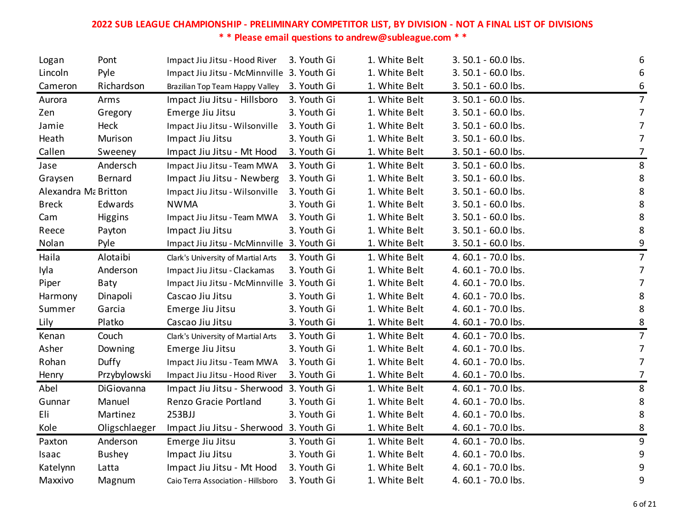| Logan                | Pont          | Impact Jiu Jitsu - Hood River              | 3. Youth Gi | 1. White Belt | 3.50.1 - 60.0 lbs. | 6                |
|----------------------|---------------|--------------------------------------------|-------------|---------------|--------------------|------------------|
| Lincoln              | Pyle          | Impact Jiu Jitsu - McMinnville 3. Youth Gi |             | 1. White Belt | 3.50.1 - 60.0 lbs. | 6                |
| Cameron              | Richardson    | Brazilian Top Team Happy Valley            | 3. Youth Gi | 1. White Belt | 3.50.1 - 60.0 lbs. | 6                |
| Aurora               | Arms          | Impact Jiu Jitsu - Hillsboro               | 3. Youth Gi | 1. White Belt | 3.50.1 - 60.0 lbs. | $\overline{7}$   |
| Zen                  | Gregory       | Emerge Jiu Jitsu                           | 3. Youth Gi | 1. White Belt | 3.50.1 - 60.0 lbs. | $\overline{7}$   |
| Jamie                | Heck          | Impact Jiu Jitsu - Wilsonville             | 3. Youth Gi | 1. White Belt | 3.50.1 - 60.0 lbs. | $\overline{7}$   |
| Heath                | Murison       | Impact Jiu Jitsu                           | 3. Youth Gi | 1. White Belt | 3.50.1 - 60.0 lbs. | $\overline{7}$   |
| Callen               | Sweeney       | Impact Jiu Jitsu - Mt Hood                 | 3. Youth Gi | 1. White Belt | 3.50.1 - 60.0 lbs. | $\overline{7}$   |
| Jase                 | Andersch      | Impact Jiu Jitsu - Team MWA                | 3. Youth Gi | 1. White Belt | 3.50.1 - 60.0 lbs. | 8                |
| Graysen              | Bernard       | Impact Jiu Jitsu - Newberg                 | 3. Youth Gi | 1. White Belt | 3.50.1 - 60.0 lbs. | $\bf 8$          |
| Alexandra Ma Britton |               | Impact Jiu Jitsu - Wilsonville             | 3. Youth Gi | 1. White Belt | 3.50.1 - 60.0 lbs. | 8                |
| <b>Breck</b>         | Edwards       | <b>NWMA</b>                                | 3. Youth Gi | 1. White Belt | 3.50.1 - 60.0 lbs. | 8                |
| Cam                  | Higgins       | Impact Jiu Jitsu - Team MWA                | 3. Youth Gi | 1. White Belt | 3.50.1 - 60.0 lbs. | 8                |
| Reece                | Payton        | Impact Jiu Jitsu                           | 3. Youth Gi | 1. White Belt | 3.50.1 - 60.0 lbs. | 8                |
| Nolan                | Pyle          | Impact Jiu Jitsu - McMinnville 3. Youth Gi |             | 1. White Belt | 3.50.1 - 60.0 lbs. | 9                |
| Haila                | Alotaibi      | Clark's University of Martial Arts         | 3. Youth Gi | 1. White Belt | 4.60.1 - 70.0 lbs. | $\overline{7}$   |
| Iyla                 | Anderson      | Impact Jiu Jitsu - Clackamas               | 3. Youth Gi | 1. White Belt | 4.60.1 - 70.0 lbs. | $\overline{7}$   |
| Piper                | Baty          | Impact Jiu Jitsu - McMinnville 3. Youth Gi |             | 1. White Belt | 4.60.1 - 70.0 lbs. | $\overline{7}$   |
| Harmony              | Dinapoli      | Cascao Jiu Jitsu                           | 3. Youth Gi | 1. White Belt | 4.60.1 - 70.0 lbs. | 8                |
| Summer               | Garcia        | Emerge Jiu Jitsu                           | 3. Youth Gi | 1. White Belt | 4.60.1 - 70.0 lbs. | $\bf 8$          |
| Lily                 | Platko        | Cascao Jiu Jitsu                           | 3. Youth Gi | 1. White Belt | 4.60.1 - 70.0 lbs. | 8                |
| Kenan                | Couch         | Clark's University of Martial Arts         | 3. Youth Gi | 1. White Belt | 4.60.1 - 70.0 lbs. | $\overline{7}$   |
| Asher                | Downing       | Emerge Jiu Jitsu                           | 3. Youth Gi | 1. White Belt | 4.60.1 - 70.0 lbs. | $\overline{7}$   |
| Rohan                | Duffy         | Impact Jiu Jitsu - Team MWA                | 3. Youth Gi | 1. White Belt | 4.60.1 - 70.0 lbs. | $\overline{7}$   |
| Henry                | Przybylowski  | Impact Jiu Jitsu - Hood River              | 3. Youth Gi | 1. White Belt | 4.60.1 - 70.0 lbs. | $\overline{7}$   |
| Abel                 | DiGiovanna    | Impact Jiu Jitsu - Sherwood 3. Youth Gi    |             | 1. White Belt | 4.60.1 - 70.0 lbs. | 8                |
| Gunnar               | Manuel        | Renzo Gracie Portland                      | 3. Youth Gi | 1. White Belt | 4.60.1 - 70.0 lbs. | 8                |
| Eli                  | Martinez      | 253BJJ                                     | 3. Youth Gi | 1. White Belt | 4.60.1 - 70.0 lbs. | $\bf 8$          |
| Kole                 | Oligschlaeger | Impact Jiu Jitsu - Sherwood 3. Youth Gi    |             | 1. White Belt | 4.60.1 - 70.0 lbs. | 8                |
| Paxton               | Anderson      | Emerge Jiu Jitsu                           | 3. Youth Gi | 1. White Belt | 4.60.1 - 70.0 lbs. | 9                |
| Isaac                | <b>Bushey</b> | Impact Jiu Jitsu                           | 3. Youth Gi | 1. White Belt | 4.60.1 - 70.0 lbs. | 9                |
| Katelynn             | Latta         | Impact Jiu Jitsu - Mt Hood                 | 3. Youth Gi | 1. White Belt | 4.60.1 - 70.0 lbs. | $\boldsymbol{9}$ |
| Maxxivo              | Magnum        | Caio Terra Association - Hillsboro         | 3. Youth Gi | 1. White Belt | 4.60.1 - 70.0 lbs. | 9                |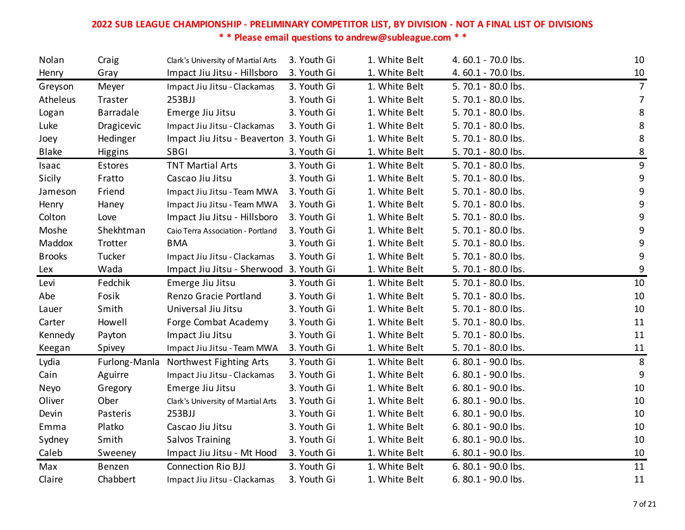| Nolan         | Craig            | Clark's University of Martial Arts       | 3. Youth Gi | 1. White Belt | 4.60.1 - 70.0 lbs.  | 10             |
|---------------|------------------|------------------------------------------|-------------|---------------|---------------------|----------------|
| Henry         | Gray             | Impact Jiu Jitsu - Hillsboro             | 3. Youth Gi | 1. White Belt | 4.60.1 - 70.0 lbs.  | 10             |
| Greyson       | Meyer            | Impact Jiu Jitsu - Clackamas             | 3. Youth Gi | 1. White Belt | 5.70.1 - 80.0 lbs.  | 7              |
| Atheleus      | Traster          | 253BJJ                                   | 3. Youth Gi | 1. White Belt | 5.70.1 - 80.0 lbs.  | $\overline{7}$ |
| Logan         | <b>Barradale</b> | Emerge Jiu Jitsu                         | 3. Youth Gi | 1. White Belt | 5.70.1 - 80.0 lbs.  | $\bf 8$        |
| Luke          | Dragicevic       | Impact Jiu Jitsu - Clackamas             | 3. Youth Gi | 1. White Belt | 5.70.1 - 80.0 lbs.  | 8              |
| Joey          | Hedinger         | Impact Jiu Jitsu - Beaverton 3. Youth Gi |             | 1. White Belt | 5.70.1 - 80.0 lbs.  | 8              |
| Blake         | Higgins          | <b>SBGI</b>                              | 3. Youth Gi | 1. White Belt | 5.70.1 - 80.0 lbs.  | $\bf 8$        |
| Isaac         | Estores          | <b>TNT Martial Arts</b>                  | 3. Youth Gi | 1. White Belt | 5.70.1 - 80.0 lbs.  | 9              |
| Sicily        | Fratto           | Cascao Jiu Jitsu                         | 3. Youth Gi | 1. White Belt | 5.70.1 - 80.0 lbs.  | 9              |
| Jameson       | Friend           | Impact Jiu Jitsu - Team MWA              | 3. Youth Gi | 1. White Belt | 5.70.1 - 80.0 lbs.  | 9              |
| Henry         | Haney            | Impact Jiu Jitsu - Team MWA              | 3. Youth Gi | 1. White Belt | 5.70.1 - 80.0 lbs.  | 9              |
| Colton        | Love             | Impact Jiu Jitsu - Hillsboro             | 3. Youth Gi | 1. White Belt | 5.70.1 - 80.0 lbs.  | 9              |
| Moshe         | Shekhtman        | Caio Terra Association - Portland        | 3. Youth Gi | 1. White Belt | 5.70.1 - 80.0 lbs.  | 9              |
| Maddox        | Trotter          | <b>BMA</b>                               | 3. Youth Gi | 1. White Belt | 5.70.1 - 80.0 lbs.  | 9              |
| <b>Brooks</b> | Tucker           | Impact Jiu Jitsu - Clackamas             | 3. Youth Gi | 1. White Belt | 5.70.1 - 80.0 lbs.  | 9              |
| Lex           | Wada             | Impact Jiu Jitsu - Sherwood 3. Youth Gi  |             | 1. White Belt | 5.70.1 - 80.0 lbs.  | 9              |
| Levi          | Fedchik          | Emerge Jiu Jitsu                         | 3. Youth Gi | 1. White Belt | 5.70.1 - 80.0 lbs.  | 10             |
| Abe           | Fosik            | Renzo Gracie Portland                    | 3. Youth Gi | 1. White Belt | 5.70.1 - 80.0 lbs.  | 10             |
| Lauer         | Smith            | Universal Jiu Jitsu                      | 3. Youth Gi | 1. White Belt | 5.70.1 - 80.0 lbs.  | 10             |
| Carter        | Howell           | Forge Combat Academy                     | 3. Youth Gi | 1. White Belt | 5.70.1 - 80.0 lbs.  | 11             |
| Kennedy       | Payton           | Impact Jiu Jitsu                         | 3. Youth Gi | 1. White Belt | 5.70.1 - 80.0 lbs.  | 11             |
| Keegan        | Spivey           | Impact Jiu Jitsu - Team MWA              | 3. Youth Gi | 1. White Belt | 5.70.1 - 80.0 lbs.  | 11             |
| Lydia         | Furlong-Manla    | Northwest Fighting Arts                  | 3. Youth Gi | 1. White Belt | 6.80.1 - 90.0 lbs.  | 8              |
| Cain          | Aguirre          | Impact Jiu Jitsu - Clackamas             | 3. Youth Gi | 1. White Belt | 6.80.1 - 90.0 lbs.  | $9\,$          |
| Neyo          | Gregory          | Emerge Jiu Jitsu                         | 3. Youth Gi | 1. White Belt | 6.80.1 - 90.0 lbs.  | 10             |
| Oliver        | Ober             | Clark's University of Martial Arts       | 3. Youth Gi | 1. White Belt | 6.80.1 - 90.0 lbs.  | 10             |
| Devin         | Pasteris         | 253BJJ                                   | 3. Youth Gi | 1. White Belt | 6.80.1 - 90.0 lbs.  | 10             |
| Emma          | Platko           | Cascao Jiu Jitsu                         | 3. Youth Gi | 1. White Belt | 6.80.1 - 90.0 lbs.  | 10             |
| Sydney        | Smith            | <b>Salvos Training</b>                   | 3. Youth Gi | 1. White Belt | 6. 80.1 - 90.0 lbs. | 10             |
| Caleb         | Sweeney          | Impact Jiu Jitsu - Mt Hood               | 3. Youth Gi | 1. White Belt | 6. 80.1 - 90.0 lbs. | 10             |
| Max           | Benzen           | <b>Connection Rio BJJ</b>                | 3. Youth Gi | 1. White Belt | 6.80.1 - 90.0 lbs.  | 11             |
| Claire        | Chabbert         | Impact Jiu Jitsu - Clackamas             | 3. Youth Gi | 1. White Belt | 6.80.1 - 90.0 lbs.  | 11             |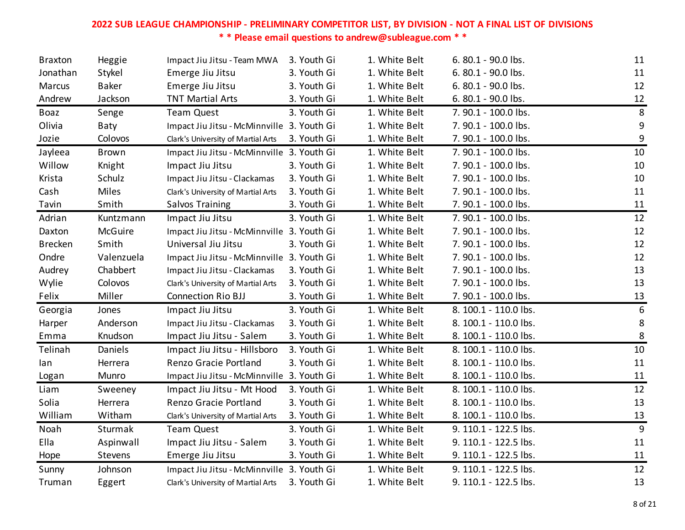| <b>Braxton</b> | Heggie         | Impact Jiu Jitsu - Team MWA                | 3. Youth Gi | 1. White Belt | 6. 80.1 - 90.0 lbs.   | 11             |
|----------------|----------------|--------------------------------------------|-------------|---------------|-----------------------|----------------|
| Jonathan       | Stykel         | Emerge Jiu Jitsu                           | 3. Youth Gi | 1. White Belt | 6.80.1 - 90.0 lbs.    | 11             |
| Marcus         | <b>Baker</b>   | Emerge Jiu Jitsu                           | 3. Youth Gi | 1. White Belt | 6.80.1 - 90.0 lbs.    | 12             |
| Andrew         | Jackson        | <b>TNT Martial Arts</b>                    | 3. Youth Gi | 1. White Belt | 6. 80.1 - 90.0 lbs.   | 12             |
| <b>Boaz</b>    | Senge          | <b>Team Quest</b>                          | 3. Youth Gi | 1. White Belt | 7.90.1 - 100.0 lbs.   | $\,8\,$        |
| Olivia         | Baty           | Impact Jiu Jitsu - McMinnville 3. Youth Gi |             | 1. White Belt | 7. 90.1 - 100.0 lbs.  | 9              |
| Jozie          | Colovos        | Clark's University of Martial Arts         | 3. Youth Gi | 1. White Belt | 7.90.1 - 100.0 lbs.   | 9              |
| Jayleea        | <b>Brown</b>   | Impact Jiu Jitsu - McMinnville 3. Youth Gi |             | 1. White Belt | 7.90.1 - 100.0 lbs.   | 10             |
| Willow         | Knight         | Impact Jiu Jitsu                           | 3. Youth Gi | 1. White Belt | 7.90.1 - 100.0 lbs.   | 10             |
| Krista         | Schulz         | Impact Jiu Jitsu - Clackamas               | 3. Youth Gi | 1. White Belt | 7.90.1 - 100.0 lbs.   | 10             |
| Cash           | Miles          | Clark's University of Martial Arts         | 3. Youth Gi | 1. White Belt | 7. 90.1 - 100.0 lbs.  | 11             |
| Tavin          | Smith          | Salvos Training                            | 3. Youth Gi | 1. White Belt | 7. 90.1 - 100.0 lbs.  | 11             |
| Adrian         | Kuntzmann      | Impact Jiu Jitsu                           | 3. Youth Gi | 1. White Belt | 7.90.1 - 100.0 lbs.   | 12             |
| Daxton         | McGuire        | Impact Jiu Jitsu - McMinnville 3. Youth Gi |             | 1. White Belt | 7.90.1 - 100.0 lbs.   | 12             |
| <b>Brecken</b> | Smith          | Universal Jiu Jitsu                        | 3. Youth Gi | 1. White Belt | 7.90.1 - 100.0 lbs.   | 12             |
| Ondre          | Valenzuela     | Impact Jiu Jitsu - McMinnville 3. Youth Gi |             | 1. White Belt | 7.90.1 - 100.0 lbs.   | 12             |
| Audrey         | Chabbert       | Impact Jiu Jitsu - Clackamas               | 3. Youth Gi | 1. White Belt | 7. 90.1 - 100.0 lbs.  | 13             |
| Wylie          | Colovos        | Clark's University of Martial Arts         | 3. Youth Gi | 1. White Belt | 7.90.1 - 100.0 lbs.   | 13             |
| Felix          | Miller         | Connection Rio BJJ                         | 3. Youth Gi | 1. White Belt | 7. 90.1 - 100.0 lbs.  | 13             |
| Georgia        | Jones          | Impact Jiu Jitsu                           | 3. Youth Gi | 1. White Belt | 8. 100.1 - 110.0 lbs. | $6\,$          |
| Harper         | Anderson       | Impact Jiu Jitsu - Clackamas               | 3. Youth Gi | 1. White Belt | 8. 100.1 - 110.0 lbs. | $\,8\,$        |
| Emma           | Knudson        | Impact Jiu Jitsu - Salem                   | 3. Youth Gi | 1. White Belt | 8. 100.1 - 110.0 lbs. | $\,8\,$        |
| Telinah        | Daniels        | Impact Jiu Jitsu - Hillsboro               | 3. Youth Gi | 1. White Belt | 8. 100.1 - 110.0 lbs. | 10             |
| lan            | Herrera        | Renzo Gracie Portland                      | 3. Youth Gi | 1. White Belt | 8. 100.1 - 110.0 lbs. | 11             |
| Logan          | Munro          | Impact Jiu Jitsu - McMinnville 3. Youth Gi |             | 1. White Belt | 8. 100.1 - 110.0 lbs. | 11             |
| Liam           | Sweeney        | Impact Jiu Jitsu - Mt Hood                 | 3. Youth Gi | 1. White Belt | 8. 100.1 - 110.0 lbs. | 12             |
| Solia          | Herrera        | Renzo Gracie Portland                      | 3. Youth Gi | 1. White Belt | 8. 100.1 - 110.0 lbs. | 13             |
| William        | Witham         | Clark's University of Martial Arts         | 3. Youth Gi | 1. White Belt | 8. 100.1 - 110.0 lbs. | 13             |
| Noah           | Sturmak        | <b>Team Quest</b>                          | 3. Youth Gi | 1. White Belt | 9. 110.1 - 122.5 lbs. | $\overline{9}$ |
| Ella           | Aspinwall      | Impact Jiu Jitsu - Salem                   | 3. Youth Gi | 1. White Belt | 9. 110.1 - 122.5 lbs. | 11             |
| Hope           | <b>Stevens</b> | Emerge Jiu Jitsu                           | 3. Youth Gi | 1. White Belt | 9. 110.1 - 122.5 lbs. | 11             |
| Sunny          | Johnson        | Impact Jiu Jitsu - McMinnville 3. Youth Gi |             | 1. White Belt | 9. 110.1 - 122.5 lbs. | 12             |
| Truman         | Eggert         | Clark's University of Martial Arts         | 3. Youth Gi | 1. White Belt | 9. 110.1 - 122.5 lbs. | 13             |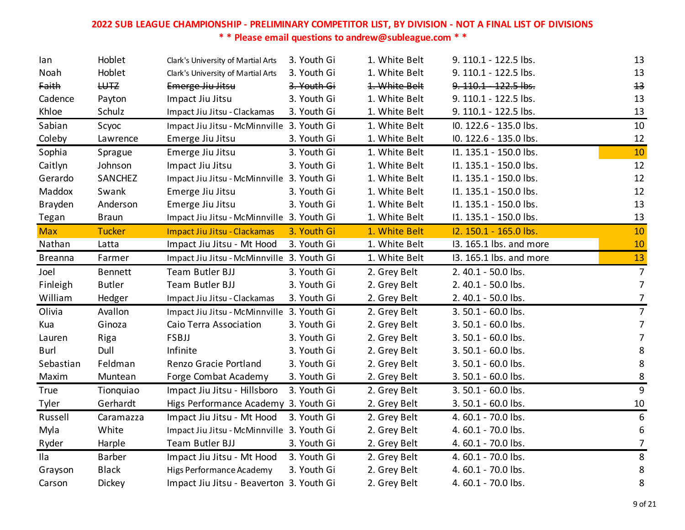| lan.           | Hoblet         | Clark's University of Martial Arts         | 3. Youth Gi | 1. White Belt | 9. 110.1 - 122.5 lbs.   | 13             |
|----------------|----------------|--------------------------------------------|-------------|---------------|-------------------------|----------------|
| Noah           | Hoblet         | Clark's University of Martial Arts         | 3. Youth Gi | 1. White Belt | 9. 110.1 - 122.5 lbs.   | 13             |
| Faith          | H <sub>1</sub> | Emerge Jiu Jitsu                           | 3. Youth Gi | 1. White Belt | 9. 110.1 122.5 lbs.     | $+3$           |
| Cadence        | Payton         | Impact Jiu Jitsu                           | 3. Youth Gi | 1. White Belt | 9. 110.1 - 122.5 lbs.   | 13             |
| Khloe          | Schulz         | Impact Jiu Jitsu - Clackamas               | 3. Youth Gi | 1. White Belt | 9. 110.1 - 122.5 lbs.   | 13             |
| Sabian         | Scyoc          | Impact Jiu Jitsu - McMinnville 3. Youth Gi |             | 1. White Belt | IO. 122.6 - 135.0 lbs.  | 10             |
| Coleby         | Lawrence       | Emerge Jiu Jitsu                           | 3. Youth Gi | 1. White Belt | IO. 122.6 - 135.0 lbs.  | 12             |
| Sophia         | Sprague        | Emerge Jiu Jitsu                           | 3. Youth Gi | 1. White Belt | I1. 135.1 - 150.0 lbs.  | 10             |
| Caitlyn        | Johnson        | Impact Jiu Jitsu                           | 3. Youth Gi | 1. White Belt | I1. 135.1 - 150.0 lbs.  | 12             |
| Gerardo        | SANCHEZ        | Impact Jiu Jitsu - McMinnville 3. Youth Gi |             | 1. White Belt | I1. 135.1 - 150.0 lbs.  | 12             |
| Maddox         | Swank          | Emerge Jiu Jitsu                           | 3. Youth Gi | 1. White Belt | I1. 135.1 - 150.0 lbs.  | 12             |
| Brayden        | Anderson       | Emerge Jiu Jitsu                           | 3. Youth Gi | 1. White Belt | I1. 135.1 - 150.0 lbs.  | 13             |
| Tegan          | <b>Braun</b>   | Impact Jiu Jitsu - McMinnville 3. Youth Gi |             | 1. White Belt | I1. 135.1 - 150.0 lbs.  | 13             |
| <b>Max</b>     | <b>Tucker</b>  | Impact Jiu Jitsu - Clackamas               | 3. Youth Gi | 1. White Belt | I2. 150.1 - 165.0 lbs.  | 10             |
| Nathan         | Latta          | Impact Jiu Jitsu - Mt Hood                 | 3. Youth Gi | 1. White Belt | 13. 165.1 lbs. and more | 10             |
| <b>Breanna</b> | Farmer         | Impact Jiu Jitsu - McMinnville 3. Youth Gi |             | 1. White Belt | 13. 165.1 lbs. and more | 13             |
| Joel           | <b>Bennett</b> | Team Butler BJJ                            | 3. Youth Gi | 2. Grey Belt  | 2.40.1 - 50.0 lbs.      | $\overline{7}$ |
| Finleigh       | <b>Butler</b>  | Team Butler BJJ                            | 3. Youth Gi | 2. Grey Belt  | 2.40.1 - 50.0 lbs.      | $\overline{7}$ |
| William        | Hedger         | Impact Jiu Jitsu - Clackamas               | 3. Youth Gi | 2. Grey Belt  | 2.40.1 - 50.0 lbs.      | $\overline{7}$ |
| Olivia         | Avallon        | Impact Jiu Jitsu - McMinnville 3. Youth Gi |             | 2. Grey Belt  | 3.50.1 - 60.0 lbs.      | $\overline{7}$ |
| Kua            | Ginoza         | Caio Terra Association                     | 3. Youth Gi | 2. Grey Belt  | 3.50.1 - 60.0 lbs.      | $\overline{7}$ |
| Lauren         | Riga           | FSBJJ                                      | 3. Youth Gi | 2. Grey Belt  | 3.50.1 - 60.0 lbs.      | $\overline{7}$ |
| <b>Burl</b>    | Dull           | Infinite                                   | 3. Youth Gi | 2. Grey Belt  | 3.50.1 - 60.0 lbs.      | 8              |
| Sebastian      | Feldman        | Renzo Gracie Portland                      | 3. Youth Gi | 2. Grey Belt  | 3.50.1 - 60.0 lbs.      | 8              |
| Maxim          | Muntean        | Forge Combat Academy                       | 3. Youth Gi | 2. Grey Belt  | 3.50.1 - 60.0 lbs.      | 8              |
| <b>True</b>    | Tionquiao      | Impact Jiu Jitsu - Hillsboro               | 3. Youth Gi | 2. Grey Belt  | 3.50.1 - 60.0 lbs.      | 9              |
| Tyler          | Gerhardt       | Higs Performance Academy 3. Youth Gi       |             | 2. Grey Belt  | 3.50.1 - 60.0 lbs.      | 10             |
| Russell        | Caramazza      | Impact Jiu Jitsu - Mt Hood                 | 3. Youth Gi | 2. Grey Belt  | 4.60.1 - 70.0 lbs.      | 6              |
| Myla           | White          | Impact Jiu Jitsu - McMinnville 3. Youth Gi |             | 2. Grey Belt  | 4.60.1 - 70.0 lbs.      | 6              |
| Ryder          | Harple         | Team Butler BJJ                            | 3. Youth Gi | 2. Grey Belt  | 4.60.1 - 70.0 lbs.      | $\overline{7}$ |
| Ila            | <b>Barber</b>  | Impact Jiu Jitsu - Mt Hood                 | 3. Youth Gi | 2. Grey Belt  | 4.60.1 - 70.0 lbs.      | 8              |
| Grayson        | <b>Black</b>   | Higs Performance Academy                   | 3. Youth Gi | 2. Grey Belt  | 4.60.1 - 70.0 lbs.      | $\bf 8$        |
| Carson         | Dickey         | Impact Jiu Jitsu - Beaverton 3. Youth Gi   |             | 2. Grey Belt  | 4.60.1 - 70.0 lbs.      | 8              |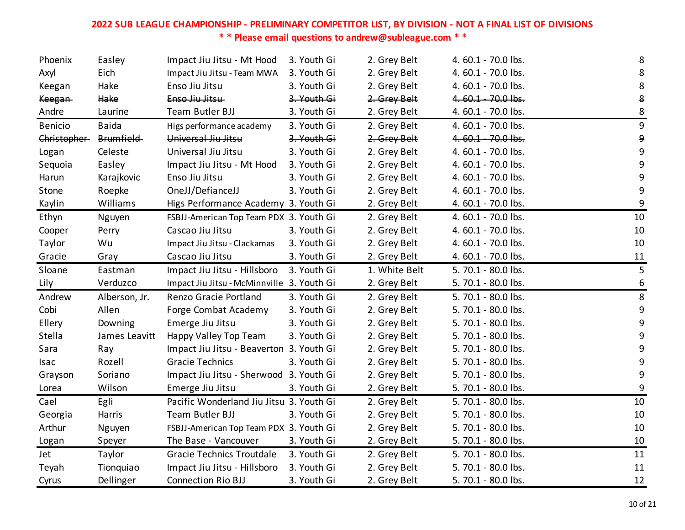| Phoenix        | Easley           | Impact Jiu Jitsu - Mt Hood                 | 3. Youth Gi | 2. Grey Belt  | 4.60.1 - 70.0 lbs. | 8                |
|----------------|------------------|--------------------------------------------|-------------|---------------|--------------------|------------------|
| Axyl           | Eich             | Impact Jiu Jitsu - Team MWA                | 3. Youth Gi | 2. Grey Belt  | 4.60.1 - 70.0 lbs. | 8                |
| Keegan         | Hake             | Enso Jiu Jitsu                             | 3. Youth Gi | 2. Grey Belt  | 4.60.1 - 70.0 lbs. | $\bf 8$          |
| <b>Keegan</b>  | Hake             | Enso Jiu Jitsu                             | 3. Youth Gi | 2. Grey Belt  | 4.60.1 70.0 lbs.   | 8                |
| Andre          | Laurine          | Team Butler BJJ                            | 3. Youth Gi | 2. Grey Belt  | 4.60.1 - 70.0 lbs. | 8                |
| <b>Benicio</b> | <b>Baida</b>     | Higs performance academy                   | 3. Youth Gi | 2. Grey Belt  | 4.60.1 - 70.0 lbs. | $\boldsymbol{9}$ |
| Christopher    | <b>Brumfield</b> | Universal Jiu Jitsu                        | 3. Youth Gi | 2. Grey Belt  | 4.60.1 - 70.0 lbs. | $\boldsymbol{9}$ |
| Logan          | Celeste          | Universal Jiu Jitsu                        | 3. Youth Gi | 2. Grey Belt  | 4.60.1 - 70.0 lbs. | 9                |
| Sequoia        | Easley           | Impact Jiu Jitsu - Mt Hood                 | 3. Youth Gi | 2. Grey Belt  | 4.60.1 - 70.0 lbs. | 9                |
| Harun          | Karajkovic       | Enso Jiu Jitsu                             | 3. Youth Gi | 2. Grey Belt  | 4.60.1 - 70.0 lbs. | $9\,$            |
| Stone          | Roepke           | OneJJ/DefianceJJ                           | 3. Youth Gi | 2. Grey Belt  | 4.60.1 - 70.0 lbs. | 9                |
| Kaylin         | Williams         | Higs Performance Academy 3. Youth Gi       |             | 2. Grey Belt  | 4.60.1 - 70.0 lbs. | 9                |
| Ethyn          | Nguyen           | FSBJJ-American Top Team PDX 3. Youth Gi    |             | 2. Grey Belt  | 4.60.1 - 70.0 lbs. | 10               |
| Cooper         | Perry            | Cascao Jiu Jitsu                           | 3. Youth Gi | 2. Grey Belt  | 4.60.1 - 70.0 lbs. | 10               |
| Taylor         | Wu               | Impact Jiu Jitsu - Clackamas               | 3. Youth Gi | 2. Grey Belt  | 4.60.1 - 70.0 lbs. | 10               |
| Gracie         | Gray             | Cascao Jiu Jitsu                           | 3. Youth Gi | 2. Grey Belt  | 4.60.1 - 70.0 lbs. | 11               |
| Sloane         | Eastman          | Impact Jiu Jitsu - Hillsboro               | 3. Youth Gi | 1. White Belt | 5.70.1 - 80.0 lbs. | 5                |
| Lily           | Verduzco         | Impact Jiu Jitsu - McMinnville 3. Youth Gi |             | 2. Grey Belt  | 5.70.1 - 80.0 lbs. | 6                |
| Andrew         | Alberson, Jr.    | Renzo Gracie Portland                      | 3. Youth Gi | 2. Grey Belt  | 5.70.1 - 80.0 lbs. | 8                |
| Cobi           | Allen            | Forge Combat Academy                       | 3. Youth Gi | 2. Grey Belt  | 5.70.1 - 80.0 lbs. | $\boldsymbol{9}$ |
| Ellery         | Downing          | Emerge Jiu Jitsu                           | 3. Youth Gi | 2. Grey Belt  | 5.70.1 - 80.0 lbs. | 9                |
| Stella         | James Leavitt    | Happy Valley Top Team                      | 3. Youth Gi | 2. Grey Belt  | 5.70.1 - 80.0 lbs. | 9                |
| Sara           | Ray              | Impact Jiu Jitsu - Beaverton 3. Youth Gi   |             | 2. Grey Belt  | 5.70.1 - 80.0 lbs. | 9                |
| <b>Isac</b>    | Rozell           | <b>Gracie Technics</b>                     | 3. Youth Gi | 2. Grey Belt  | 5.70.1 - 80.0 lbs. | $9\,$            |
| Grayson        | Soriano          | Impact Jiu Jitsu - Sherwood 3. Youth Gi    |             | 2. Grey Belt  | 5.70.1 - 80.0 lbs. | 9                |
| Lorea          | Wilson           | Emerge Jiu Jitsu                           | 3. Youth Gi | 2. Grey Belt  | 5.70.1 - 80.0 lbs. | 9                |
| Cael           | Egli             | Pacific Wonderland Jiu Jitsu 3. Youth Gi   |             | 2. Grey Belt  | 5.70.1 - 80.0 lbs. | 10               |
| Georgia        | Harris           | Team Butler BJJ                            | 3. Youth Gi | 2. Grey Belt  | 5.70.1 - 80.0 lbs. | 10               |
| Arthur         | Nguyen           | FSBJJ-American Top Team PDX 3. Youth Gi    |             | 2. Grey Belt  | 5.70.1 - 80.0 lbs. | 10               |
| Logan          | Speyer           | The Base - Vancouver                       | 3. Youth Gi | 2. Grey Belt  | 5.70.1 - 80.0 lbs. | 10               |
| Jet            | Taylor           | <b>Gracie Technics Troutdale</b>           | 3. Youth Gi | 2. Grey Belt  | 5.70.1 - 80.0 lbs. | 11               |
| Teyah          | Tionquiao        | Impact Jiu Jitsu - Hillsboro               | 3. Youth Gi | 2. Grey Belt  | 5.70.1 - 80.0 lbs. | 11               |
| Cyrus          | Dellinger        | <b>Connection Rio BJJ</b>                  | 3. Youth Gi | 2. Grey Belt  | 5.70.1 - 80.0 lbs. | 12               |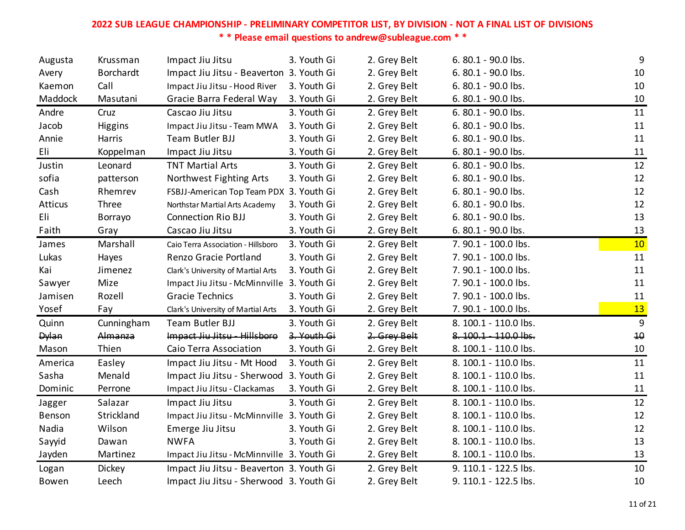| Augusta      | Krussman         | Impact Jiu Jitsu                           | 3. Youth Gi | 2. Grey Belt | 6.80.1 - 90.0 lbs.    | 9  |
|--------------|------------------|--------------------------------------------|-------------|--------------|-----------------------|----|
| Avery        | <b>Borchardt</b> | Impact Jiu Jitsu - Beaverton 3. Youth Gi   |             | 2. Grey Belt | 6.80.1 - 90.0 lbs.    | 10 |
| Kaemon       | Call             | Impact Jiu Jitsu - Hood River              | 3. Youth Gi | 2. Grey Belt | 6.80.1 - 90.0 lbs.    | 10 |
| Maddock      | Masutani         | Gracie Barra Federal Way                   | 3. Youth Gi | 2. Grey Belt | 6.80.1 - 90.0 lbs.    | 10 |
| Andre        | Cruz             | Cascao Jiu Jitsu                           | 3. Youth Gi | 2. Grey Belt | 6.80.1 - 90.0 lbs.    | 11 |
| Jacob        | Higgins          | Impact Jiu Jitsu - Team MWA                | 3. Youth Gi | 2. Grey Belt | 6.80.1 - 90.0 lbs.    | 11 |
| Annie        | Harris           | Team Butler BJJ                            | 3. Youth Gi | 2. Grey Belt | 6.80.1 - 90.0 lbs.    | 11 |
| Eli          | Koppelman        | Impact Jiu Jitsu                           | 3. Youth Gi | 2. Grey Belt | 6.80.1 - 90.0 lbs.    | 11 |
| Justin       | Leonard          | <b>TNT Martial Arts</b>                    | 3. Youth Gi | 2. Grey Belt | 6.80.1 - 90.0 lbs.    | 12 |
| sofia        | patterson        | Northwest Fighting Arts                    | 3. Youth Gi | 2. Grey Belt | 6.80.1 - 90.0 lbs.    | 12 |
| Cash         | Rhemrev          | FSBJJ-American Top Team PDX 3. Youth Gi    |             | 2. Grey Belt | 6.80.1 - 90.0 lbs.    | 12 |
| Atticus      | Three            | Northstar Martial Arts Academy             | 3. Youth Gi | 2. Grey Belt | 6.80.1 - 90.0 lbs.    | 12 |
| Eli          | Borrayo          | <b>Connection Rio BJJ</b>                  | 3. Youth Gi | 2. Grey Belt | 6. 80.1 - 90.0 lbs.   | 13 |
| Faith        | Gray             | Cascao Jiu Jitsu                           | 3. Youth Gi | 2. Grey Belt | 6.80.1 - 90.0 lbs.    | 13 |
| James        | Marshall         | Caio Terra Association - Hillsboro         | 3. Youth Gi | 2. Grey Belt | 7. 90.1 - 100.0 lbs.  | 10 |
| Lukas        | Hayes            | Renzo Gracie Portland                      | 3. Youth Gi | 2. Grey Belt | 7.90.1 - 100.0 lbs.   | 11 |
| Kai          | Jimenez          | Clark's University of Martial Arts         | 3. Youth Gi | 2. Grey Belt | 7.90.1 - 100.0 lbs.   | 11 |
| Sawyer       | Mize             | Impact Jiu Jitsu - McMinnville 3. Youth Gi |             | 2. Grey Belt | 7. 90.1 - 100.0 lbs.  | 11 |
| Jamisen      | Rozell           | <b>Gracie Technics</b>                     | 3. Youth Gi | 2. Grey Belt | 7. 90.1 - 100.0 lbs.  | 11 |
| Yosef        | Fay              | Clark's University of Martial Arts         | 3. Youth Gi | 2. Grey Belt | 7.90.1 - 100.0 lbs.   | 13 |
| Quinn        | Cunningham       | Team Butler BJJ                            | 3. Youth Gi | 2. Grey Belt | 8. 100.1 - 110.0 lbs. | 9  |
| <b>Dylan</b> | Almanza          | Impact Jiu Jitsu - Hillsboro               | 3. Youth Gi | 2. Grey Belt | 8.100.1 - 110.0 lbs.  | 40 |
| Mason        | Thien            | Caio Terra Association                     | 3. Youth Gi | 2. Grey Belt | 8. 100.1 - 110.0 lbs. | 10 |
| America      | Easley           | Impact Jiu Jitsu - Mt Hood                 | 3. Youth Gi | 2. Grey Belt | 8. 100.1 - 110.0 lbs. | 11 |
| Sasha        | Menald           | Impact Jiu Jitsu - Sherwood 3. Youth Gi    |             | 2. Grey Belt | 8. 100.1 - 110.0 lbs. | 11 |
| Dominic      | Perrone          | Impact Jiu Jitsu - Clackamas               | 3. Youth Gi | 2. Grey Belt | 8. 100.1 - 110.0 lbs. | 11 |
| Jagger       | Salazar          | Impact Jiu Jitsu                           | 3. Youth Gi | 2. Grey Belt | 8. 100.1 - 110.0 lbs. | 12 |
| Benson       | Strickland       | Impact Jiu Jitsu - McMinnville 3. Youth Gi |             | 2. Grey Belt | 8. 100.1 - 110.0 lbs. | 12 |
| Nadia        | Wilson           | Emerge Jiu Jitsu                           | 3. Youth Gi | 2. Grey Belt | 8. 100.1 - 110.0 lbs. | 12 |
| Sayyid       | Dawan            | <b>NWFA</b>                                | 3. Youth Gi | 2. Grey Belt | 8. 100.1 - 110.0 lbs. | 13 |
| Jayden       | Martinez         | Impact Jiu Jitsu - McMinnville 3. Youth Gi |             | 2. Grey Belt | 8. 100.1 - 110.0 lbs. | 13 |
| Logan        | Dickey           | Impact Jiu Jitsu - Beaverton 3. Youth Gi   |             | 2. Grey Belt | 9. 110.1 - 122.5 lbs. | 10 |
| Bowen        | Leech            | Impact Jiu Jitsu - Sherwood 3. Youth Gi    |             | 2. Grey Belt | 9. 110.1 - 122.5 lbs. | 10 |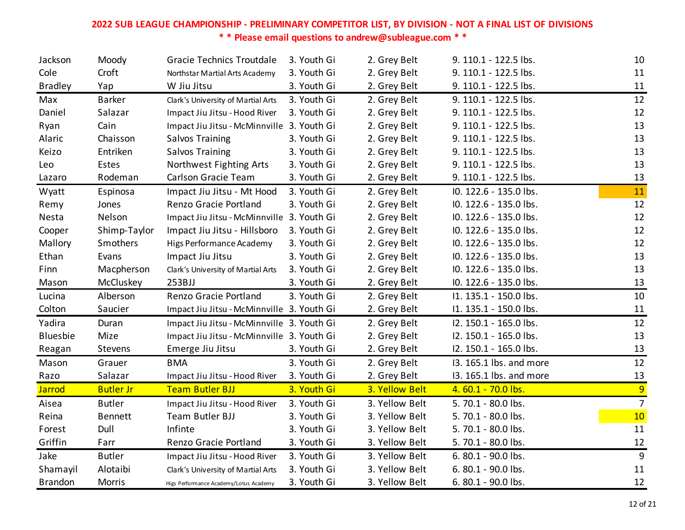| Jackson        | Moody            | <b>Gracie Technics Troutdale</b>           | 3. Youth Gi | 2. Grey Belt   | 9. 110.1 - 122.5 lbs.   | 10             |
|----------------|------------------|--------------------------------------------|-------------|----------------|-------------------------|----------------|
| Cole           | Croft            | Northstar Martial Arts Academy             | 3. Youth Gi | 2. Grey Belt   | 9. 110.1 - 122.5 lbs.   | 11             |
| <b>Bradley</b> | Yap              | W Jiu Jitsu                                | 3. Youth Gi | 2. Grey Belt   | 9. 110.1 - 122.5 lbs.   | 11             |
| Max            | <b>Barker</b>    | Clark's University of Martial Arts         | 3. Youth Gi | 2. Grey Belt   | 9. 110.1 - 122.5 lbs.   | 12             |
| Daniel         | Salazar          | Impact Jiu Jitsu - Hood River              | 3. Youth Gi | 2. Grey Belt   | 9. 110.1 - 122.5 lbs.   | 12             |
| Ryan           | Cain             | Impact Jiu Jitsu - McMinnville 3. Youth Gi |             | 2. Grey Belt   | 9. 110.1 - 122.5 lbs.   | 13             |
| Alaric         | Chaisson         | Salvos Training                            | 3. Youth Gi | 2. Grey Belt   | 9. 110.1 - 122.5 lbs.   | 13             |
| Keizo          | Entriken         | <b>Salvos Training</b>                     | 3. Youth Gi | 2. Grey Belt   | 9. 110.1 - 122.5 lbs.   | 13             |
| Leo            | Estes            | Northwest Fighting Arts                    | 3. Youth Gi | 2. Grey Belt   | 9. 110.1 - 122.5 lbs.   | 13             |
| Lazaro         | Rodeman          | Carlson Gracie Team                        | 3. Youth Gi | 2. Grey Belt   | 9. 110.1 - 122.5 lbs.   | 13             |
| Wyatt          | Espinosa         | Impact Jiu Jitsu - Mt Hood                 | 3. Youth Gi | 2. Grey Belt   | IO. 122.6 - 135.0 lbs.  | 11             |
| Remy           | Jones            | Renzo Gracie Portland                      | 3. Youth Gi | 2. Grey Belt   | IO. 122.6 - 135.0 lbs.  | 12             |
| Nesta          | Nelson           | Impact Jiu Jitsu - McMinnville 3. Youth Gi |             | 2. Grey Belt   | IO. 122.6 - 135.0 lbs.  | 12             |
| Cooper         | Shimp-Taylor     | Impact Jiu Jitsu - Hillsboro               | 3. Youth Gi | 2. Grey Belt   | IO. 122.6 - 135.0 lbs.  | 12             |
| Mallory        | Smothers         | Higs Performance Academy                   | 3. Youth Gi | 2. Grey Belt   | IO. 122.6 - 135.0 lbs.  | 12             |
| Ethan          | Evans            | Impact Jiu Jitsu                           | 3. Youth Gi | 2. Grey Belt   | IO. 122.6 - 135.0 lbs.  | 13             |
| Finn           | Macpherson       | Clark's University of Martial Arts         | 3. Youth Gi | 2. Grey Belt   | IO. 122.6 - 135.0 lbs.  | 13             |
| Mason          | McCluskey        | 253BJJ                                     | 3. Youth Gi | 2. Grey Belt   | IO. 122.6 - 135.0 lbs.  | 13             |
| Lucina         | Alberson         | Renzo Gracie Portland                      | 3. Youth Gi | 2. Grey Belt   | I1. 135.1 - 150.0 lbs.  | 10             |
| Colton         | Saucier          | Impact Jiu Jitsu - McMinnville 3. Youth Gi |             | 2. Grey Belt   | I1. 135.1 - 150.0 lbs.  | 11             |
| Yadira         | Duran            | Impact Jiu Jitsu - McMinnville 3. Youth Gi |             | 2. Grey Belt   | I2. 150.1 - 165.0 lbs.  | 12             |
| Bluesbie       | Mize             | Impact Jiu Jitsu - McMinnville 3. Youth Gi |             | 2. Grey Belt   | I2. 150.1 - 165.0 lbs.  | 13             |
| Reagan         | Stevens          | Emerge Jiu Jitsu                           | 3. Youth Gi | 2. Grey Belt   | I2. 150.1 - 165.0 lbs.  | 13             |
| Mason          | Grauer           | <b>BMA</b>                                 | 3. Youth Gi | 2. Grey Belt   | 13. 165.1 lbs. and more | 12             |
| Razo           | Salazar          | Impact Jiu Jitsu - Hood River              | 3. Youth Gi | 2. Grey Belt   | 13. 165.1 lbs. and more | 13             |
| <b>Jarrod</b>  | <b>Butler Jr</b> | <b>Team Butler BJJ</b>                     | 3. Youth Gi | 3. Yellow Belt | 4.60.1 - 70.0 lbs.      | 9              |
| Aisea          | <b>Butler</b>    | Impact Jiu Jitsu - Hood River              | 3. Youth Gi | 3. Yellow Belt | 5.70.1 - 80.0 lbs.      | $\overline{7}$ |
| Reina          | <b>Bennett</b>   | Team Butler BJJ                            | 3. Youth Gi | 3. Yellow Belt | 5.70.1 - 80.0 lbs.      | 10             |
| Forest         | Dull             | Infinte                                    | 3. Youth Gi | 3. Yellow Belt | 5.70.1 - 80.0 lbs.      | 11             |
| Griffin        | Farr             | Renzo Gracie Portland                      | 3. Youth Gi | 3. Yellow Belt | 5.70.1 - 80.0 lbs.      | <u>12</u>      |
| Jake           | <b>Butler</b>    | Impact Jiu Jitsu - Hood River              | 3. Youth Gi | 3. Yellow Belt | 6.80.1 - 90.0 lbs.      | 9              |
| Shamayil       | Alotaibi         | Clark's University of Martial Arts         | 3. Youth Gi | 3. Yellow Belt | 6.80.1 - 90.0 lbs.      | 11             |
| <b>Brandon</b> | Morris           | Higs Performance Academy/Lotus Academy     | 3. Youth Gi | 3. Yellow Belt | 6. 80.1 - 90.0 lbs.     | 12             |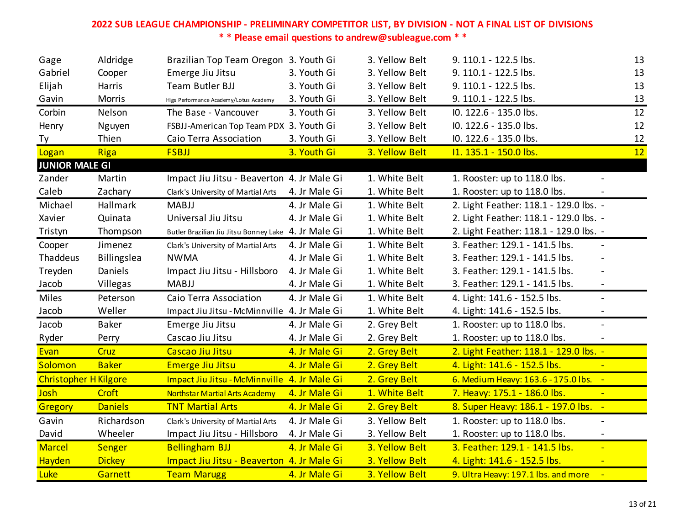| Gage                         | Aldridge       | Brazilian Top Team Oregon 3. Youth Gi                |               | 3. Yellow Belt | 9. 110.1 - 122.5 lbs.                                           | 13 |
|------------------------------|----------------|------------------------------------------------------|---------------|----------------|-----------------------------------------------------------------|----|
| Gabriel                      | Cooper         | Emerge Jiu Jitsu                                     | 3. Youth Gi   | 3. Yellow Belt | 9. 110.1 - 122.5 lbs.                                           | 13 |
| Elijah                       | Harris         | Team Butler BJJ                                      | 3. Youth Gi   | 3. Yellow Belt | 9. 110.1 - 122.5 lbs.                                           | 13 |
| Gavin                        | Morris         | Higs Performance Academy/Lotus Academy               | 3. Youth Gi   | 3. Yellow Belt | 9. 110.1 - 122.5 lbs.                                           | 13 |
| Corbin                       | Nelson         | The Base - Vancouver                                 | 3. Youth Gi   | 3. Yellow Belt | IO. 122.6 - 135.0 lbs.                                          | 12 |
| Henry                        | Nguyen         | FSBJJ-American Top Team PDX 3. Youth Gi              |               | 3. Yellow Belt | IO. 122.6 - 135.0 lbs.                                          | 12 |
| Ty                           | Thien          | Caio Terra Association                               | 3. Youth Gi   | 3. Yellow Belt | IO. 122.6 - 135.0 lbs.                                          | 12 |
| Logan                        | <b>Riga</b>    | <b>FSBJJ</b>                                         | 3. Youth Gi   | 3. Yellow Belt | I1. 135.1 - 150.0 lbs.                                          | 12 |
| <b>JUNIOR MALE GI</b>        |                |                                                      |               |                |                                                                 |    |
| Zander                       | Martin         | Impact Jiu Jitsu - Beaverton 4. Jr Male Gi           |               | 1. White Belt  | 1. Rooster: up to 118.0 lbs.                                    |    |
| Caleb                        | Zachary        | Clark's University of Martial Arts                   | 4. Jr Male Gi | 1. White Belt  | 1. Rooster: up to 118.0 lbs.                                    |    |
| Michael                      | Hallmark       | <b>MABJJ</b>                                         | 4. Jr Male Gi | 1. White Belt  | 2. Light Feather: 118.1 - 129.0 lbs. -                          |    |
| Xavier                       | Quinata        | Universal Jiu Jitsu                                  | 4. Jr Male Gi | 1. White Belt  | 2. Light Feather: 118.1 - 129.0 lbs. -                          |    |
| Tristyn                      | Thompson       | Butler Brazilian Jiu Jitsu Bonney Lake 4. Jr Male Gi |               | 1. White Belt  | 2. Light Feather: 118.1 - 129.0 lbs. -                          |    |
| Cooper                       | Jimenez        | Clark's University of Martial Arts                   | 4. Jr Male Gi | 1. White Belt  | 3. Feather: 129.1 - 141.5 lbs.<br>$\blacksquare$                |    |
| Thaddeus                     | Billingslea    | <b>NWMA</b>                                          | 4. Jr Male Gi | 1. White Belt  | 3. Feather: 129.1 - 141.5 lbs.<br>$\sim$                        |    |
| Treyden                      | <b>Daniels</b> | Impact Jiu Jitsu - Hillsboro                         | 4. Jr Male Gi | 1. White Belt  | 3. Feather: 129.1 - 141.5 lbs.                                  |    |
| Jacob                        | Villegas       | <b>MABJJ</b>                                         | 4. Jr Male Gi | 1. White Belt  | 3. Feather: 129.1 - 141.5 lbs.<br>$\blacksquare$                |    |
| Miles                        | Peterson       | Caio Terra Association                               | 4. Jr Male Gi | 1. White Belt  | 4. Light: 141.6 - 152.5 lbs.<br>$\blacksquare$                  |    |
| Jacob                        | Weller         | Impact Jiu Jitsu - McMinnville 4. Jr Male Gi         |               | 1. White Belt  | 4. Light: 141.6 - 152.5 lbs.                                    |    |
| Jacob                        | <b>Baker</b>   | Emerge Jiu Jitsu                                     | 4. Jr Male Gi | 2. Grey Belt   | 1. Rooster: up to 118.0 lbs.<br>$\blacksquare$                  |    |
| Ryder                        | Perry          | Cascao Jiu Jitsu                                     | 4. Jr Male Gi | 2. Grey Belt   | 1. Rooster: up to 118.0 lbs.                                    |    |
| Evan                         | Cruz           | Cascao Jiu Jitsu                                     | 4. Jr Male Gi | 2. Grey Belt   | 2. Light Feather: 118.1 - 129.0 lbs. -                          |    |
| Solomon                      | <b>Baker</b>   | <b>Emerge Jiu Jitsu</b>                              | 4. Jr Male Gi | 2. Grey Belt   | 4. Light: 141.6 - 152.5 lbs.                                    |    |
| <b>Christopher H Kilgore</b> |                | Impact Jiu Jitsu - McMinnville 4. Jr Male Gi         |               | 2. Grey Belt   | 6. Medium Heavy: 163.6 - 175.0 lbs. -                           |    |
| <b>Josh</b>                  | Croft          | <b>Northstar Martial Arts Academy</b>                | 4. Jr Male Gi | 1. White Belt  | 7. Heavy: 175.1 - 186.0 lbs.<br>$\left\vert \bullet\right\vert$ |    |
| <b>Gregory</b>               | <b>Daniels</b> | <b>TNT Martial Arts</b>                              | 4. Jr Male Gi | 2. Grey Belt   | 8. Super Heavy: 186.1 - 197.0 lbs. -                            |    |
| Gavin                        | Richardson     | Clark's University of Martial Arts                   | 4. Jr Male Gi | 3. Yellow Belt | 1. Rooster: up to 118.0 lbs.<br>$\overline{\phantom{0}}$        |    |
| David                        | Wheeler        | Impact Jiu Jitsu - Hillsboro                         | 4. Jr Male Gi | 3. Yellow Belt | 1. Rooster: up to 118.0 lbs.<br>$\blacksquare$                  |    |
| <b>Marcel</b>                | Senger         | <b>Bellingham BJJ</b>                                | 4. Jr Male Gi | 3. Yellow Belt | 3. Feather: 129.1 - 141.5 lbs.<br>$\blacksquare$                |    |
| Hayden                       | <b>Dickey</b>  | Impact Jiu Jitsu - Beaverton 4. Jr Male Gi           |               | 3. Yellow Belt | 4. Light: 141.6 - 152.5 lbs.<br>$\blacksquare$                  |    |
| <b>Luke</b>                  | Garnett        | <b>Team Marugg</b>                                   | 4. Jr Male Gi | 3. Yellow Belt | 9. Ultra Heavy: 197.1 lbs. and more                             |    |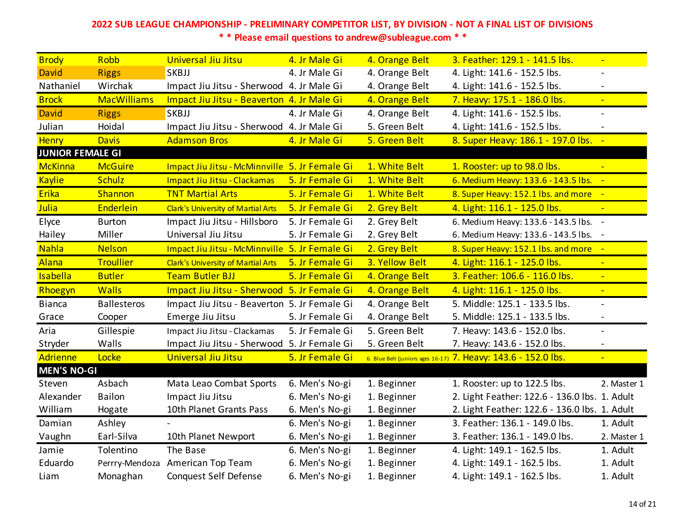| <b>Brody</b>            | Robb               | Universal Jiu Jitsu                            | 4. Jr Male Gi   | 4. Orange Belt | 3. Feather: 129.1 - 141.5 lbs.                                 | $\blacksquare$           |
|-------------------------|--------------------|------------------------------------------------|-----------------|----------------|----------------------------------------------------------------|--------------------------|
| <b>David</b>            | <b>Riggs</b>       | SKBJJ                                          | 4. Jr Male Gi   | 4. Orange Belt | 4. Light: 141.6 - 152.5 lbs.                                   |                          |
| Nathaniel               | Wirchak            | Impact Jiu Jitsu - Sherwood 4. Jr Male Gi      |                 | 4. Orange Belt | 4. Light: 141.6 - 152.5 lbs.                                   |                          |
| <b>Brock</b>            | <b>MacWilliams</b> | Impact Jiu Jitsu - Beaverton 4. Jr Male Gi     |                 | 4. Orange Belt | 7. Heavy: 175.1 - 186.0 lbs.                                   | $\blacksquare$           |
| <b>David</b>            | <b>Riggs</b>       | SKBJJ                                          | 4. Jr Male Gi   | 4. Orange Belt | 4. Light: 141.6 - 152.5 lbs.                                   |                          |
| Julian                  | Hoidal             | Impact Jiu Jitsu - Sherwood 4. Jr Male Gi      |                 | 5. Green Belt  | 4. Light: 141.6 - 152.5 lbs.                                   |                          |
| <b>Henry</b>            | <b>Davis</b>       | <b>Adamson Bros</b>                            | 4. Jr Male Gi   | 5. Green Belt  | 8. Super Heavy: 186.1 - 197.0 lbs. -                           |                          |
| <b>JUNIOR FEMALE GI</b> |                    |                                                |                 |                |                                                                |                          |
| <b>McKinna</b>          | <b>McGuire</b>     | Impact Jiu Jitsu - McMinnville 5. Jr Female Gi |                 | 1. White Belt  | 1. Rooster: up to 98.0 lbs.                                    |                          |
| <b>Kaylie</b>           | <b>Schulz</b>      | Impact Jiu Jitsu - Clackamas                   | 5. Jr Female Gi | 1. White Belt  | 6. Medium Heavy: 133.6 - 143.5 lbs. -                          |                          |
| Erika                   | Shannon            | <b>TNT Martial Arts</b>                        | 5. Jr Female Gi | 1. White Belt  | 8. Super Heavy: 152.1 lbs. and more -                          |                          |
| <b>Julia</b>            | Enderlein          | <b>Clark's University of Martial Arts</b>      | 5. Jr Female Gi | 2. Grey Belt   | 4. Light: 116.1 - 125.0 lbs.                                   |                          |
| Elyce                   | <b>Burton</b>      | Impact Jiu Jitsu - Hillsboro                   | 5. Jr Female Gi | 2. Grey Belt   | 6. Medium Heavy: 133.6 - 143.5 lbs. -                          |                          |
| Hailey                  | Miller             | Universal Jiu Jitsu                            | 5. Jr Female Gi | 2. Grey Belt   | 6. Medium Heavy: 133.6 - 143.5 lbs. -                          |                          |
| <b>Nahla</b>            | <b>Nelson</b>      | Impact Jiu Jitsu - McMinnville 5. Jr Female Gi |                 | 2. Grey Belt   | 8. Super Heavy: 152.1 lbs. and more -                          |                          |
| Alana                   | <b>Troullier</b>   | <b>Clark's University of Martial Arts</b>      | 5. Jr Female Gi | 3. Yellow Belt | 4. Light: 116.1 - 125.0 lbs.                                   |                          |
| <b>Isabella</b>         | <b>Butler</b>      | <b>Team Butler BJJ</b>                         | 5. Jr Female Gi | 4. Orange Belt | 3. Feather: 106.6 - 116.0 lbs.                                 | $\blacksquare$           |
| Rhoegyn                 | <b>Walls</b>       | Impact Jiu Jitsu - Sherwood 5. Jr Female Gi    |                 | 4. Orange Belt | 4. Light: 116.1 - 125.0 lbs.                                   | $\blacksquare$           |
| <b>Bianca</b>           | <b>Ballesteros</b> | Impact Jiu Jitsu - Beaverton 5. Jr Female Gi   |                 | 4. Orange Belt | 5. Middle: 125.1 - 133.5 lbs.                                  |                          |
| Grace                   | Cooper             | Emerge Jiu Jitsu                               | 5. Jr Female Gi | 4. Orange Belt | 5. Middle: 125.1 - 133.5 lbs.                                  | $\overline{\phantom{0}}$ |
| Aria                    | Gillespie          | Impact Jiu Jitsu - Clackamas                   | 5. Jr Female Gi | 5. Green Belt  | 7. Heavy: 143.6 - 152.0 lbs.                                   | $\blacksquare$           |
| Stryder                 | Walls              | Impact Jiu Jitsu - Sherwood 5. Jr Female Gi    |                 | 5. Green Belt  | 7. Heavy: 143.6 - 152.0 lbs.                                   |                          |
| <b>Adrienne</b>         | Locke              | <b>Universal Jiu Jitsu</b>                     | 5. Jr Female Gi |                | 6. Blue Belt (juniors ages 16-17) 7. Heavy: 143.6 - 152.0 lbs. | $\blacksquare$           |
| <b>MEN'S NO-GI</b>      |                    |                                                |                 |                |                                                                |                          |
| Steven                  | Asbach             | Mata Leao Combat Sports                        | 6. Men's No-gi  | 1. Beginner    | 1. Rooster: up to 122.5 lbs.                                   | 2. Master 1              |
| Alexander               | <b>Bailon</b>      | Impact Jiu Jitsu                               | 6. Men's No-gi  | 1. Beginner    | 2. Light Feather: 122.6 - 136.0 lbs. 1. Adult                  |                          |
| William                 | Hogate             | 10th Planet Grants Pass                        | 6. Men's No-gi  | 1. Beginner    | 2. Light Feather: 122.6 - 136.0 lbs. 1. Adult                  |                          |
| Damian                  | Ashley             |                                                | 6. Men's No-gi  | 1. Beginner    | 3. Feather: 136.1 - 149.0 lbs.                                 | 1. Adult                 |
| Vaughn                  | Earl-Silva         | 10th Planet Newport                            | 6. Men's No-gi  | 1. Beginner    | 3. Feather: 136.1 - 149.0 lbs.                                 | 2. Master 1              |
| Jamie                   | Tolentino          | The Base                                       | 6. Men's No-gi  | 1. Beginner    | 4. Light: 149.1 - 162.5 lbs.                                   | 1. Adult                 |
| Eduardo                 | Perrry-Mendoza     | American Top Team                              | 6. Men's No-gi  | 1. Beginner    | 4. Light: 149.1 - 162.5 lbs.                                   | 1. Adult                 |
| Liam                    | Monaghan           | <b>Conquest Self Defense</b>                   | 6. Men's No-gi  | 1. Beginner    | 4. Light: 149.1 - 162.5 lbs.                                   | 1. Adult                 |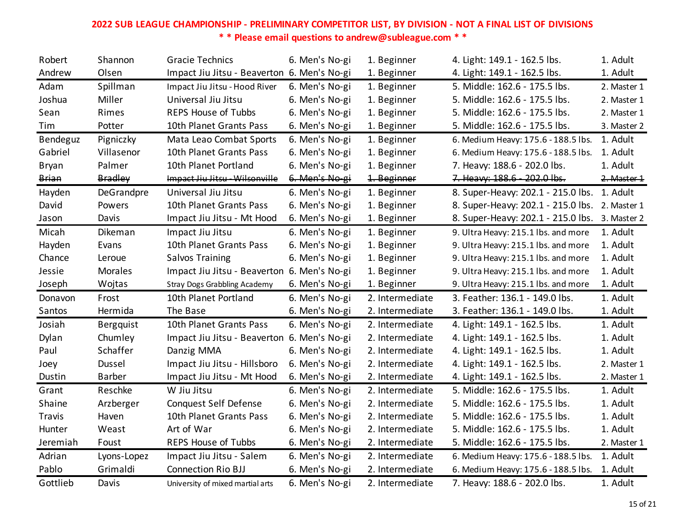| Robert       | Shannon        | <b>Gracie Technics</b>                      | 6. Men's No-gi | 1. Beginner     | 4. Light: 149.1 - 162.5 lbs.                   | 1. Adult    |
|--------------|----------------|---------------------------------------------|----------------|-----------------|------------------------------------------------|-------------|
| Andrew       | Olsen          | Impact Jiu Jitsu - Beaverton 6. Men's No-gi |                | 1. Beginner     | 4. Light: 149.1 - 162.5 lbs.                   | 1. Adult    |
| Adam         | Spillman       | Impact Jiu Jitsu - Hood River               | 6. Men's No-gi | 1. Beginner     | 5. Middle: 162.6 - 175.5 lbs.                  | 2. Master 1 |
| Joshua       | Miller         | Universal Jiu Jitsu                         | 6. Men's No-gi | 1. Beginner     | 5. Middle: 162.6 - 175.5 lbs.                  | 2. Master 1 |
| Sean         | Rimes          | <b>REPS House of Tubbs</b>                  | 6. Men's No-gi | 1. Beginner     | 5. Middle: 162.6 - 175.5 lbs.                  | 2. Master 1 |
| Tim          | Potter         | 10th Planet Grants Pass                     | 6. Men's No-gi | 1. Beginner     | 5. Middle: 162.6 - 175.5 lbs.                  | 3. Master 2 |
| Bendeguz     | Pigniczky      | Mata Leao Combat Sports                     | 6. Men's No-gi | 1. Beginner     | 6. Medium Heavy: 175.6 - 188.5 lbs.            | 1. Adult    |
| Gabriel      | Villasenor     | 10th Planet Grants Pass                     | 6. Men's No-gi | 1. Beginner     | 6. Medium Heavy: 175.6 - 188.5 lbs.            | 1. Adult    |
| <b>Bryan</b> | Palmer         | 10th Planet Portland                        | 6. Men's No-gi | 1. Beginner     | 7. Heavy: 188.6 - 202.0 lbs.                   | 1. Adult    |
| Brian        | <b>Bradley</b> | Impact Jiu Jitsu - Wilsonville              | 6. Men's No-gi | 1. Beginner     | 7. Heavy: 188.6 - 202.0 lbs.                   | 2. Master 1 |
| Hayden       | DeGrandpre     | Universal Jiu Jitsu                         | 6. Men's No-gi | 1. Beginner     | 8. Super-Heavy: 202.1 - 215.0 lbs. 1. Adult    |             |
| David        | Powers         | 10th Planet Grants Pass                     | 6. Men's No-gi | 1. Beginner     | 8. Super-Heavy: 202.1 - 215.0 lbs. 2. Master 1 |             |
| Jason        | Davis          | Impact Jiu Jitsu - Mt Hood                  | 6. Men's No-gi | 1. Beginner     | 8. Super-Heavy: 202.1 - 215.0 lbs.             | 3. Master 2 |
| Micah        | Dikeman        | Impact Jiu Jitsu                            | 6. Men's No-gi | 1. Beginner     | 9. Ultra Heavy: 215.1 lbs. and more            | 1. Adult    |
| Hayden       | Evans          | 10th Planet Grants Pass                     | 6. Men's No-gi | 1. Beginner     | 9. Ultra Heavy: 215.1 lbs. and more            | 1. Adult    |
| Chance       | Leroue         | <b>Salvos Training</b>                      | 6. Men's No-gi | 1. Beginner     | 9. Ultra Heavy: 215.1 lbs. and more            | 1. Adult    |
| Jessie       | <b>Morales</b> | Impact Jiu Jitsu - Beaverton 6. Men's No-gi |                | 1. Beginner     | 9. Ultra Heavy: 215.1 lbs. and more            | 1. Adult    |
| Joseph       | Wojtas         | <b>Stray Dogs Grabbling Academy</b>         | 6. Men's No-gi | 1. Beginner     | 9. Ultra Heavy: 215.1 lbs. and more            | 1. Adult    |
| Donavon      | Frost          | 10th Planet Portland                        | 6. Men's No-gi | 2. Intermediate | 3. Feather: 136.1 - 149.0 lbs.                 | 1. Adult    |
| Santos       | Hermida        | The Base                                    | 6. Men's No-gi | 2. Intermediate | 3. Feather: 136.1 - 149.0 lbs.                 | 1. Adult    |
| Josiah       | Bergquist      | 10th Planet Grants Pass                     | 6. Men's No-gi | 2. Intermediate | 4. Light: 149.1 - 162.5 lbs.                   | 1. Adult    |
| Dylan        | Chumley        | Impact Jiu Jitsu - Beaverton 6. Men's No-gi |                | 2. Intermediate | 4. Light: 149.1 - 162.5 lbs.                   | 1. Adult    |
| Paul         | Schaffer       | Danzig MMA                                  | 6. Men's No-gi | 2. Intermediate | 4. Light: 149.1 - 162.5 lbs.                   | 1. Adult    |
| Joey         | Dussel         | Impact Jiu Jitsu - Hillsboro                | 6. Men's No-gi | 2. Intermediate | 4. Light: 149.1 - 162.5 lbs.                   | 2. Master 1 |
| Dustin       | Barber         | Impact Jiu Jitsu - Mt Hood                  | 6. Men's No-gi | 2. Intermediate | 4. Light: 149.1 - 162.5 lbs.                   | 2. Master 1 |
| Grant        | Reschke        | W Jiu Jitsu                                 | 6. Men's No-gi | 2. Intermediate | 5. Middle: 162.6 - 175.5 lbs.                  | 1. Adult    |
| Shaine       | Arzberger      | Conquest Self Defense                       | 6. Men's No-gi | 2. Intermediate | 5. Middle: 162.6 - 175.5 lbs.                  | 1. Adult    |
| Travis       | Haven          | 10th Planet Grants Pass                     | 6. Men's No-gi | 2. Intermediate | 5. Middle: 162.6 - 175.5 lbs.                  | 1. Adult    |
| Hunter       | Weast          | Art of War                                  | 6. Men's No-gi | 2. Intermediate | 5. Middle: 162.6 - 175.5 lbs.                  | 1. Adult    |
| Jeremiah     | Foust          | <b>REPS House of Tubbs</b>                  | 6. Men's No-gi | 2. Intermediate | 5. Middle: 162.6 - 175.5 lbs.                  | 2. Master 1 |
| Adrian       | Lyons-Lopez    | Impact Jiu Jitsu - Salem                    | 6. Men's No-gi | 2. Intermediate | 6. Medium Heavy: 175.6 - 188.5 lbs.            | 1. Adult    |
| Pablo        | Grimaldi       | <b>Connection Rio BJJ</b>                   | 6. Men's No-gi | 2. Intermediate | 6. Medium Heavy: 175.6 - 188.5 lbs.            | 1. Adult    |
| Gottlieb     | Davis          | University of mixed martial arts            | 6. Men's No-gi | 2. Intermediate | 7. Heavy: 188.6 - 202.0 lbs.                   | 1. Adult    |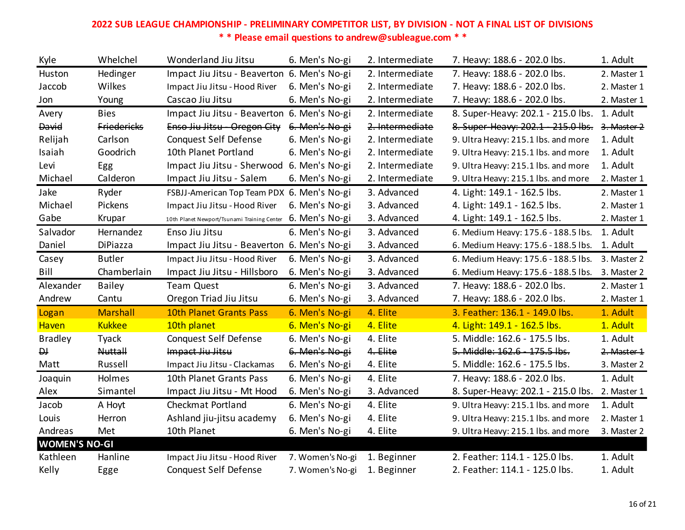| Kyle                 | Whelchel           | Wonderland Jiu Jitsu                        | 6. Men's No-gi   | 2. Intermediate | 7. Heavy: 188.6 - 202.0 lbs.        | 1. Adult    |
|----------------------|--------------------|---------------------------------------------|------------------|-----------------|-------------------------------------|-------------|
| Huston               | Hedinger           | Impact Jiu Jitsu - Beaverton 6. Men's No-gi |                  | 2. Intermediate | 7. Heavy: 188.6 - 202.0 lbs.        | 2. Master 1 |
| Jaccob               | Wilkes             | Impact Jiu Jitsu - Hood River               | 6. Men's No-gi   | 2. Intermediate | 7. Heavy: 188.6 - 202.0 lbs.        | 2. Master 1 |
| Jon                  | Young              | Cascao Jiu Jitsu                            | 6. Men's No-gi   | 2. Intermediate | 7. Heavy: 188.6 - 202.0 lbs.        | 2. Master 1 |
| Avery                | <b>Bies</b>        | Impact Jiu Jitsu - Beaverton 6. Men's No-gi |                  | 2. Intermediate | 8. Super-Heavy: 202.1 - 215.0 lbs.  | 1. Adult    |
| David                | <b>Friedericks</b> | Enso Jiu Jitsu - Oregon City                | 6. Men's No-gi   | 2. Intermediate | 8. Super-Heavy: 202.1 - 215.0 lbs.  | 3. Master 2 |
| Relijah              | Carlson            | <b>Conquest Self Defense</b>                | 6. Men's No-gi   | 2. Intermediate | 9. Ultra Heavy: 215.1 lbs. and more | 1. Adult    |
| Isaiah               | Goodrich           | 10th Planet Portland                        | 6. Men's No-gi   | 2. Intermediate | 9. Ultra Heavy: 215.1 lbs. and more | 1. Adult    |
| Levi                 | Egg                | Impact Jiu Jitsu - Sherwood 6. Men's No-gi  |                  | 2. Intermediate | 9. Ultra Heavy: 215.1 lbs. and more | 1. Adult    |
| Michael              | Calderon           | Impact Jiu Jitsu - Salem                    | 6. Men's No-gi   | 2. Intermediate | 9. Ultra Heavy: 215.1 lbs. and more | 2. Master 1 |
| Jake                 | Ryder              | FSBJJ-American Top Team PDX 6. Men's No-gi  |                  | 3. Advanced     | 4. Light: 149.1 - 162.5 lbs.        | 2. Master 1 |
| Michael              | Pickens            | Impact Jiu Jitsu - Hood River               | 6. Men's No-gi   | 3. Advanced     | 4. Light: 149.1 - 162.5 lbs.        | 2. Master 1 |
| Gabe                 | Krupar             | 10th Planet Newport/Tsunami Training Center | 6. Men's No-gi   | 3. Advanced     | 4. Light: 149.1 - 162.5 lbs.        | 2. Master 1 |
| Salvador             | Hernandez          | Enso Jiu Jitsu                              | 6. Men's No-gi   | 3. Advanced     | 6. Medium Heavy: 175.6 - 188.5 lbs. | 1. Adult    |
| Daniel               | DiPiazza           | Impact Jiu Jitsu - Beaverton 6. Men's No-gi |                  | 3. Advanced     | 6. Medium Heavy: 175.6 - 188.5 lbs. | 1. Adult    |
| Casey                | <b>Butler</b>      | Impact Jiu Jitsu - Hood River               | 6. Men's No-gi   | 3. Advanced     | 6. Medium Heavy: 175.6 - 188.5 lbs. | 3. Master 2 |
|                      |                    |                                             |                  |                 |                                     |             |
| Bill                 | Chamberlain        | Impact Jiu Jitsu - Hillsboro                | 6. Men's No-gi   | 3. Advanced     | 6. Medium Heavy: 175.6 - 188.5 lbs. | 3. Master 2 |
| Alexander            | <b>Bailey</b>      | <b>Team Quest</b>                           | 6. Men's No-gi   | 3. Advanced     | 7. Heavy: 188.6 - 202.0 lbs.        | 2. Master 1 |
| Andrew               | Cantu              | Oregon Triad Jiu Jitsu                      | 6. Men's No-gi   | 3. Advanced     | 7. Heavy: 188.6 - 202.0 lbs.        | 2. Master 1 |
| Logan                | <b>Marshall</b>    | 10th Planet Grants Pass                     | 6. Men's No-gi   | 4. Elite        | 3. Feather: 136.1 - 149.0 lbs.      | 1. Adult    |
| Haven                | <b>Kukkee</b>      | 10th planet                                 | 6. Men's No-gi   | 4. Elite        | 4. Light: 149.1 - 162.5 lbs.        | 1. Adult    |
| <b>Bradley</b>       | Tyack              | <b>Conquest Self Defense</b>                | 6. Men's No-gi   | 4. Elite        | 5. Middle: 162.6 - 175.5 lbs.       | 1. Adult    |
| $\overline{D}$       | <b>Nuttall</b>     | Impact Jiu Jitsu                            | 6. Men's No-gi   | 4. Elite        | 5. Middle: 162.6 - 175.5 lbs.       | 2. Master 1 |
| Matt                 | Russell            | Impact Jiu Jitsu - Clackamas                | 6. Men's No-gi   | 4. Elite        | 5. Middle: 162.6 - 175.5 lbs.       | 3. Master 2 |
| Joaquin              | Holmes             | 10th Planet Grants Pass                     | 6. Men's No-gi   | 4. Elite        | 7. Heavy: 188.6 - 202.0 lbs.        | 1. Adult    |
| Alex                 | Simantel           | Impact Jiu Jitsu - Mt Hood                  | 6. Men's No-gi   | 3. Advanced     | 8. Super-Heavy: 202.1 - 215.0 lbs.  | 2. Master 1 |
| Jacob                | A Hoyt             | Checkmat Portland                           | 6. Men's No-gi   | 4. Elite        | 9. Ultra Heavy: 215.1 lbs. and more | 1. Adult    |
| Louis                | Herron             | Ashland jiu-jitsu academy                   | 6. Men's No-gi   | 4. Elite        | 9. Ultra Heavy: 215.1 lbs. and more | 2. Master 1 |
| Andreas              | Met                | 10th Planet                                 | 6. Men's No-gi   | 4. Elite        | 9. Ultra Heavy: 215.1 lbs. and more | 3. Master 2 |
| <b>WOMEN'S NO-GI</b> |                    |                                             |                  |                 |                                     |             |
| Kathleen             | Hanline            | Impact Jiu Jitsu - Hood River               | 7. Women's No-gi | 1. Beginner     | 2. Feather: 114.1 - 125.0 lbs.      | 1. Adult    |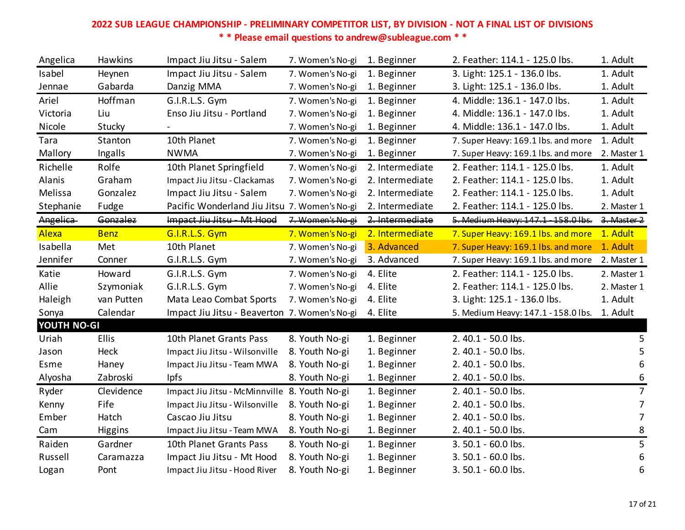| Angelica    | Hawkins      | Impact Jiu Jitsu - Salem                      | 7. Women's No-gi | 1. Beginner     | 2. Feather: 114.1 - 125.0 lbs.      | 1. Adult         |
|-------------|--------------|-----------------------------------------------|------------------|-----------------|-------------------------------------|------------------|
| Isabel      | Heynen       | Impact Jiu Jitsu - Salem                      | 7. Women's No-gi | 1. Beginner     | 3. Light: 125.1 - 136.0 lbs.        | 1. Adult         |
| Jennae      | Gabarda      | Danzig MMA                                    | 7. Women's No-gi | 1. Beginner     | 3. Light: 125.1 - 136.0 lbs.        | 1. Adult         |
| Ariel       | Hoffman      | G.I.R.L.S. Gym                                | 7. Women's No-gi | 1. Beginner     | 4. Middle: 136.1 - 147.0 lbs.       | 1. Adult         |
| Victoria    | Liu          | Enso Jiu Jitsu - Portland                     | 7. Women's No-gi | 1. Beginner     | 4. Middle: 136.1 - 147.0 lbs.       | 1. Adult         |
| Nicole      | Stucky       |                                               | 7. Women's No-gi | 1. Beginner     | 4. Middle: 136.1 - 147.0 lbs.       | 1. Adult         |
| Tara        | Stanton      | 10th Planet                                   | 7. Women's No-gi | 1. Beginner     | 7. Super Heavy: 169.1 lbs. and more | 1. Adult         |
| Mallory     | Ingalls      | <b>NWMA</b>                                   | 7. Women's No-gi | 1. Beginner     | 7. Super Heavy: 169.1 lbs. and more | 2. Master 1      |
| Richelle    | Rolfe        | 10th Planet Springfield                       | 7. Women's No-gi | 2. Intermediate | 2. Feather: 114.1 - 125.0 lbs.      | 1. Adult         |
| Alanis      | Graham       | Impact Jiu Jitsu - Clackamas                  | 7. Women's No-gi | 2. Intermediate | 2. Feather: 114.1 - 125.0 lbs.      | 1. Adult         |
| Melissa     | Gonzalez     | Impact Jiu Jitsu - Salem                      | 7. Women's No-gi | 2. Intermediate | 2. Feather: 114.1 - 125.0 lbs.      | 1. Adult         |
| Stephanie   | Fudge        | Pacific Wonderland Jiu Jitsu 7. Women's No-gi |                  | 2. Intermediate | 2. Feather: 114.1 - 125.0 lbs.      | 2. Master 1      |
| Angelica    | Gonzalez     | Impact Jiu Jitsu - Mt Hood                    | 7. Women's No-gi | 2. Intermediate | 5. Medium Heavy: 147.1 - 158.0 lbs. | 3. Master 2      |
| Alexa       | <b>Benz</b>  | G.I.R.L.S. Gym                                | 7. Women's No-gi | 2. Intermediate | 7. Super Heavy: 169.1 lbs. and more | 1. Adult         |
| Isabella    | Met          | 10th Planet                                   | 7. Women's No-gi | 3. Advanced     | 7. Super Heavy: 169.1 lbs. and more | 1. Adult         |
| Jennifer    | Conner       | G.I.R.L.S. Gym                                | 7. Women's No-gi | 3. Advanced     | 7. Super Heavy: 169.1 lbs. and more | 2. Master 1      |
| Katie       | Howard       | G.I.R.L.S. Gym                                | 7. Women's No-gi | 4. Elite        | 2. Feather: 114.1 - 125.0 lbs.      | 2. Master 1      |
| Allie       | Szymoniak    | G.I.R.L.S. Gym                                | 7. Women's No-gi | 4. Elite        | 2. Feather: 114.1 - 125.0 lbs.      | 2. Master 1      |
| Haleigh     | van Putten   | Mata Leao Combat Sports                       | 7. Women's No-gi | 4. Elite        | 3. Light: 125.1 - 136.0 lbs.        | 1. Adult         |
| Sonya       | Calendar     | Impact Jiu Jitsu - Beaverton 7. Women's No-gi |                  | 4. Elite        | 5. Medium Heavy: 147.1 - 158.0 lbs. | 1. Adult         |
| YOUTH NO-GI |              |                                               |                  |                 |                                     |                  |
| Uriah       | <b>Ellis</b> | 10th Planet Grants Pass                       | 8. Youth No-gi   | 1. Beginner     | 2.40.1 - 50.0 lbs.                  | 5                |
| Jason       | Heck         | Impact Jiu Jitsu - Wilsonville                | 8. Youth No-gi   | 1. Beginner     | 2.40.1 - 50.0 lbs.                  | 5                |
| Esme        | Haney        | Impact Jiu Jitsu - Team MWA                   | 8. Youth No-gi   | 1. Beginner     | 2.40.1 - 50.0 lbs.                  | 6                |
| Alyosha     | Zabroski     | <b>lpfs</b>                                   | 8. Youth No-gi   | 1. Beginner     | 2.40.1 - 50.0 lbs.                  | $\boldsymbol{6}$ |
| Ryder       | Clevidence   | Impact Jiu Jitsu - McMinnville 8. Youth No-gi |                  | 1. Beginner     | 2.40.1 - 50.0 lbs.                  | $\overline{7}$   |
| Kenny       | Fife         | Impact Jiu Jitsu - Wilsonville                | 8. Youth No-gi   | 1. Beginner     | 2.40.1 - 50.0 lbs.                  | $\overline{7}$   |
| Ember       | Hatch        | Cascao Jiu Jitsu                              | 8. Youth No-gi   | 1. Beginner     | 2.40.1 - 50.0 lbs.                  | $\overline{7}$   |
| Cam         | Higgins      | Impact Jiu Jitsu - Team MWA                   | 8. Youth No-gi   | 1. Beginner     | 2.40.1 - 50.0 lbs.                  | 8                |
| Raiden      | Gardner      | 10th Planet Grants Pass                       | 8. Youth No-gi   | 1. Beginner     | 3.50.1 - 60.0 lbs.                  | 5                |
| Russell     | Caramazza    | Impact Jiu Jitsu - Mt Hood                    | 8. Youth No-gi   | 1. Beginner     | 3.50.1 - 60.0 lbs.                  | 6                |
| Logan       | Pont         | Impact Jiu Jitsu - Hood River                 | 8. Youth No-gi   | 1. Beginner     | 3.50.1 - 60.0 lbs.                  | 6                |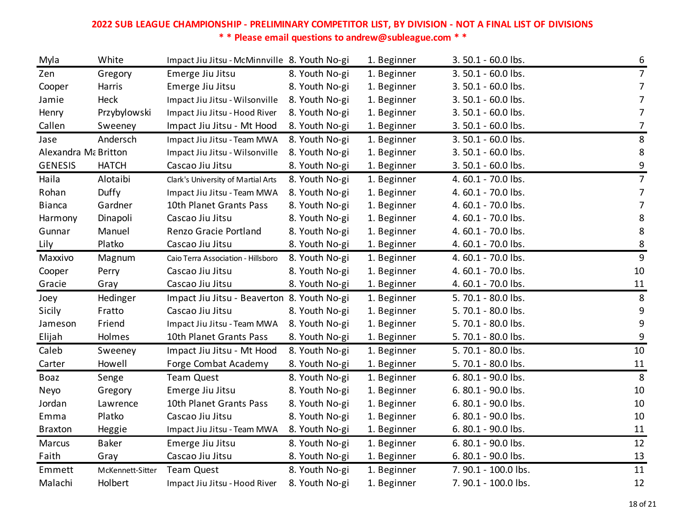| Myla                 | White            | Impact Jiu Jitsu - McMinnville 8. Youth No-gi |                | 1. Beginner | 3.50.1 - 60.0 lbs.   | 6                |
|----------------------|------------------|-----------------------------------------------|----------------|-------------|----------------------|------------------|
| Zen                  | Gregory          | Emerge Jiu Jitsu                              | 8. Youth No-gi | 1. Beginner | 3.50.1 - 60.0 lbs.   | $\overline{7}$   |
| Cooper               | Harris           | Emerge Jiu Jitsu                              | 8. Youth No-gi | 1. Beginner | 3.50.1 - 60.0 lbs.   | $\overline{7}$   |
| Jamie                | Heck             | Impact Jiu Jitsu - Wilsonville                | 8. Youth No-gi | 1. Beginner | 3.50.1 - 60.0 lbs.   | 7                |
| Henry                | Przybylowski     | Impact Jiu Jitsu - Hood River                 | 8. Youth No-gi | 1. Beginner | 3.50.1 - 60.0 lbs.   | $\overline{7}$   |
| Callen               | Sweeney          | Impact Jiu Jitsu - Mt Hood                    | 8. Youth No-gi | 1. Beginner | 3.50.1 - 60.0 lbs.   | $\overline{7}$   |
| Jase                 | Andersch         | Impact Jiu Jitsu - Team MWA                   | 8. Youth No-gi | 1. Beginner | 3.50.1 - 60.0 lbs.   | 8                |
| Alexandra Ma Britton |                  | Impact Jiu Jitsu - Wilsonville                | 8. Youth No-gi | 1. Beginner | 3.50.1 - 60.0 lbs.   | $\,8\,$          |
| <b>GENESIS</b>       | <b>HATCH</b>     | Cascao Jiu Jitsu                              | 8. Youth No-gi | 1. Beginner | 3.50.1 - 60.0 lbs.   | $\boldsymbol{9}$ |
| Haila                | Alotaibi         | Clark's University of Martial Arts            | 8. Youth No-gi | 1. Beginner | 4.60.1 - 70.0 lbs.   | $\overline{7}$   |
| Rohan                | Duffy            | Impact Jiu Jitsu - Team MWA                   | 8. Youth No-gi | 1. Beginner | 4.60.1 - 70.0 lbs.   | 7                |
| <b>Bianca</b>        | Gardner          | 10th Planet Grants Pass                       | 8. Youth No-gi | 1. Beginner | 4.60.1 - 70.0 lbs.   | $\overline{7}$   |
| Harmony              | Dinapoli         | Cascao Jiu Jitsu                              | 8. Youth No-gi | 1. Beginner | 4.60.1 - 70.0 lbs.   | 8                |
| Gunnar               | Manuel           | Renzo Gracie Portland                         | 8. Youth No-gi | 1. Beginner | 4.60.1 - 70.0 lbs.   | 8                |
| Lily                 | Platko           | Cascao Jiu Jitsu                              | 8. Youth No-gi | 1. Beginner | 4.60.1 - 70.0 lbs.   | $\frac{8}{1}$    |
| Maxxivo              | Magnum           | Caio Terra Association - Hillsboro            | 8. Youth No-gi | 1. Beginner | 4.60.1 - 70.0 lbs.   | $\overline{9}$   |
| Cooper               | Perry            | Cascao Jiu Jitsu                              | 8. Youth No-gi | 1. Beginner | 4.60.1 - 70.0 lbs.   | 10               |
| Gracie               | Gray             | Cascao Jiu Jitsu                              | 8. Youth No-gi | 1. Beginner | 4.60.1 - 70.0 lbs.   | 11               |
| Joey                 | Hedinger         | Impact Jiu Jitsu - Beaverton 8. Youth No-gi   |                | 1. Beginner | 5.70.1 - 80.0 lbs.   | 8                |
| Sicily               | Fratto           | Cascao Jiu Jitsu                              | 8. Youth No-gi | 1. Beginner | 5. 70.1 - 80.0 lbs.  | $\boldsymbol{9}$ |
| Jameson              | Friend           | Impact Jiu Jitsu - Team MWA                   | 8. Youth No-gi | 1. Beginner | 5.70.1 - 80.0 lbs.   | 9                |
| Elijah               | Holmes           | 10th Planet Grants Pass                       | 8. Youth No-gi | 1. Beginner | 5.70.1 - 80.0 lbs.   | $\boldsymbol{9}$ |
| Caleb                | Sweeney          | Impact Jiu Jitsu - Mt Hood                    | 8. Youth No-gi | 1. Beginner | 5. 70.1 - 80.0 lbs.  | 10               |
| Carter               | Howell           | Forge Combat Academy                          | 8. Youth No-gi | 1. Beginner | 5.70.1 - 80.0 lbs.   | 11               |
| Boaz                 | Senge            | <b>Team Quest</b>                             | 8. Youth No-gi | 1. Beginner | 6.80.1 - 90.0 lbs.   | 8                |
| Neyo                 | Gregory          | Emerge Jiu Jitsu                              | 8. Youth No-gi | 1. Beginner | 6.80.1 - 90.0 lbs.   | 10               |
| Jordan               | Lawrence         | 10th Planet Grants Pass                       | 8. Youth No-gi | 1. Beginner | 6.80.1 - 90.0 lbs.   | 10               |
| Emma                 | Platko           | Cascao Jiu Jitsu                              | 8. Youth No-gi | 1. Beginner | 6.80.1 - 90.0 lbs.   | 10               |
| <b>Braxton</b>       | Heggie           | Impact Jiu Jitsu - Team MWA                   | 8. Youth No-gi | 1. Beginner | 6.80.1 - 90.0 lbs.   | 11               |
| <b>Marcus</b>        | Baker            | Emerge Jiu Jitsu                              | 8. Youth No-gi | 1. Beginner | 6.80.1 - 90.0 lbs.   | 12               |
| Faith                | Gray             | Cascao Jiu Jitsu                              | 8. Youth No-gi | 1. Beginner | 6.80.1 - 90.0 lbs.   | 13               |
| Emmett               | McKennett-Sitter | <b>Team Quest</b>                             | 8. Youth No-gi | 1. Beginner | 7.90.1 - 100.0 lbs.  | 11               |
| Malachi              | Holbert          | Impact Jiu Jitsu - Hood River                 | 8. Youth No-gi | 1. Beginner | 7. 90.1 - 100.0 lbs. | 12               |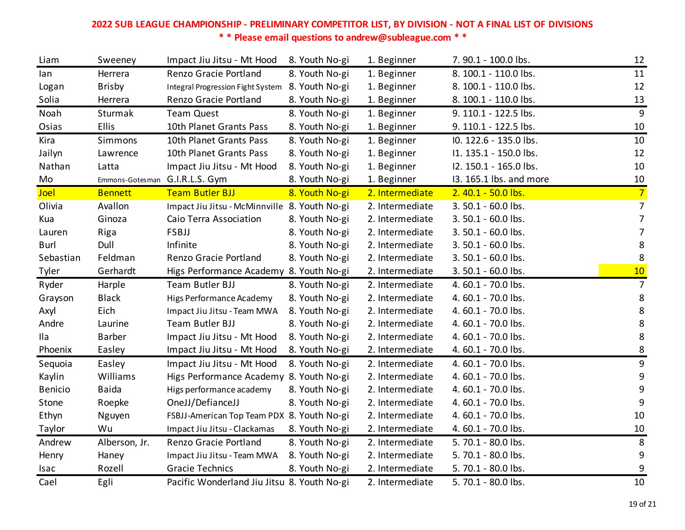| Liam           | Sweeney        | Impact Jiu Jitsu - Mt Hood                       | 8. Youth No-gi | 1. Beginner     | 7.90.1 - 100.0 lbs.     | 12               |
|----------------|----------------|--------------------------------------------------|----------------|-----------------|-------------------------|------------------|
| lan            | Herrera        | Renzo Gracie Portland                            | 8. Youth No-gi | 1. Beginner     | 8. 100.1 - 110.0 lbs.   | 11               |
| Logan          | <b>Brisby</b>  | Integral Progression Fight System 8. Youth No-gi |                | 1. Beginner     | 8. 100.1 - 110.0 lbs.   | 12               |
| Solia          | Herrera        | Renzo Gracie Portland                            | 8. Youth No-gi | 1. Beginner     | 8. 100.1 - 110.0 lbs.   | 13               |
| Noah           | Sturmak        | <b>Team Quest</b>                                | 8. Youth No-gi | 1. Beginner     | 9. 110.1 - 122.5 lbs.   | 9                |
| Osias          | <b>Ellis</b>   | 10th Planet Grants Pass                          | 8. Youth No-gi | 1. Beginner     | 9. 110.1 - 122.5 lbs.   | 10               |
| Kira           | Simmons        | 10th Planet Grants Pass                          | 8. Youth No-gi | 1. Beginner     | IO. 122.6 - 135.0 lbs.  | 10               |
| Jailyn         | Lawrence       | 10th Planet Grants Pass                          | 8. Youth No-gi | 1. Beginner     | I1. 135.1 - 150.0 lbs.  | 12               |
| Nathan         | Latta          | Impact Jiu Jitsu - Mt Hood                       | 8. Youth No-gi | 1. Beginner     | I2. 150.1 - 165.0 lbs.  | 10               |
| Mo             |                | Emmons-Gotesman G.I.R.L.S. Gym                   | 8. Youth No-gi | 1. Beginner     | 13. 165.1 lbs. and more | 10               |
| Joel           | <b>Bennett</b> | <b>Team Butler BJJ</b>                           | 8. Youth No-gi | 2. Intermediate | 2.40.1 - 50.0 lbs.      | $\overline{7}$   |
| Olivia         | Avallon        | Impact Jiu Jitsu - McMinnville 8. Youth No-gi    |                | 2. Intermediate | 3.50.1 - 60.0 lbs.      | $\overline{7}$   |
| Kua            | Ginoza         | Caio Terra Association                           | 8. Youth No-gi | 2. Intermediate | 3.50.1 - 60.0 lbs.      | $\overline{7}$   |
| Lauren         | Riga           | <b>FSBJJ</b>                                     | 8. Youth No-gi | 2. Intermediate | 3.50.1 - 60.0 lbs.      | 7                |
| <b>Burl</b>    | Dull           | Infinite                                         | 8. Youth No-gi | 2. Intermediate | 3.50.1 - 60.0 lbs.      | 8                |
| Sebastian      | Feldman        | Renzo Gracie Portland                            | 8. Youth No-gi | 2. Intermediate | 3.50.1 - 60.0 lbs.      | 8                |
| Tyler          | Gerhardt       | Higs Performance Academy 8. Youth No-gi          |                | 2. Intermediate | 3.50.1 - 60.0 lbs.      | 10               |
| Ryder          | Harple         | Team Butler BJJ                                  | 8. Youth No-gi | 2. Intermediate | 4.60.1 - 70.0 lbs.      | 7                |
| Grayson        | <b>Black</b>   | Higs Performance Academy                         | 8. Youth No-gi | 2. Intermediate | 4.60.1 - 70.0 lbs.      | 8                |
| Axyl           | Eich           | Impact Jiu Jitsu - Team MWA                      | 8. Youth No-gi | 2. Intermediate | 4.60.1 - 70.0 lbs.      | 8                |
| Andre          | Laurine        | Team Butler BJJ                                  | 8. Youth No-gi | 2. Intermediate | 4.60.1 - 70.0 lbs.      | 8                |
| Ila            | <b>Barber</b>  | Impact Jiu Jitsu - Mt Hood                       | 8. Youth No-gi | 2. Intermediate | 4.60.1 - 70.0 lbs.      | 8                |
| Phoenix        | Easley         | Impact Jiu Jitsu - Mt Hood                       | 8. Youth No-gi | 2. Intermediate | 4.60.1 - 70.0 lbs.      | 8                |
| Sequoia        | Easley         | Impact Jiu Jitsu - Mt Hood                       | 8. Youth No-gi | 2. Intermediate | 4.60.1 - 70.0 lbs.      | $\boldsymbol{9}$ |
| Kaylin         | Williams       | Higs Performance Academy 8. Youth No-gi          |                | 2. Intermediate | 4.60.1 - 70.0 lbs.      | 9                |
| <b>Benicio</b> | <b>Baida</b>   | Higs performance academy                         | 8. Youth No-gi | 2. Intermediate | 4.60.1 - 70.0 lbs.      | 9                |
| Stone          | Roepke         | OneJJ/DefianceJJ                                 | 8. Youth No-gi | 2. Intermediate | 4.60.1 - 70.0 lbs.      | 9                |
| Ethyn          | Nguyen         | FSBJJ-American Top Team PDX 8. Youth No-gi       |                | 2. Intermediate | 4.60.1 - 70.0 lbs.      | 10               |
| Taylor         | Wu             | Impact Jiu Jitsu - Clackamas                     | 8. Youth No-gi | 2. Intermediate | 4.60.1 - 70.0 lbs.      | <u>10</u>        |
| Andrew         | Alberson, Jr.  | Renzo Gracie Portland                            | 8. Youth No-gi | 2. Intermediate | 5.70.1 - 80.0 lbs.      | 8                |
| Henry          | Haney          | Impact Jiu Jitsu - Team MWA                      | 8. Youth No-gi | 2. Intermediate | 5.70.1 - 80.0 lbs.      | $\boldsymbol{9}$ |
| Isac           | Rozell         | <b>Gracie Technics</b>                           | 8. Youth No-gi | 2. Intermediate | 5.70.1 - 80.0 lbs.      | 9                |
| Cael           | Egli           | Pacific Wonderland Jiu Jitsu 8. Youth No-gi      |                | 2. Intermediate | 5.70.1 - 80.0 lbs.      | 10               |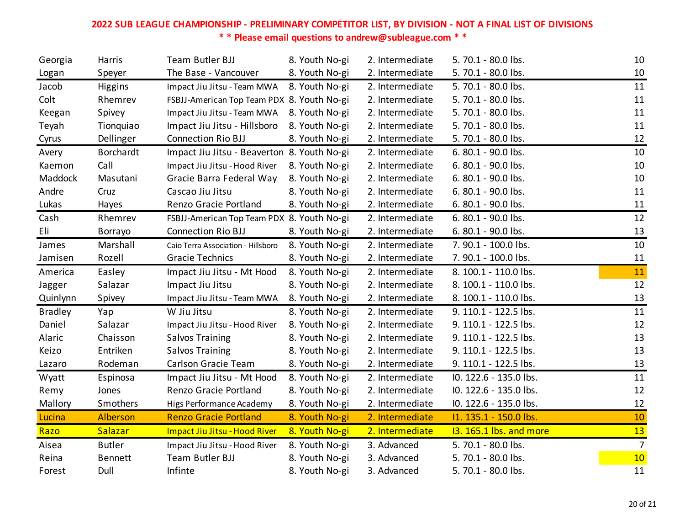| Georgia        | Harris           | Team Butler BJJ                             | 8. Youth No-gi | 2. Intermediate | 5.70.1 - 80.0 lbs.      | 10             |
|----------------|------------------|---------------------------------------------|----------------|-----------------|-------------------------|----------------|
| Logan          | Speyer           | The Base - Vancouver                        | 8. Youth No-gi | 2. Intermediate | 5.70.1 - 80.0 lbs.      | 10             |
| Jacob          | Higgins          | Impact Jiu Jitsu - Team MWA                 | 8. Youth No-gi | 2. Intermediate | 5.70.1 - 80.0 lbs.      | 11             |
| Colt           | Rhemrev          | FSBJJ-American Top Team PDX 8. Youth No-gi  |                | 2. Intermediate | 5.70.1 - 80.0 lbs.      | 11             |
| Keegan         | Spivey           | Impact Jiu Jitsu - Team MWA                 | 8. Youth No-gi | 2. Intermediate | 5. 70.1 - 80.0 lbs.     | 11             |
| Teyah          | Tionquiao        | Impact Jiu Jitsu - Hillsboro                | 8. Youth No-gi | 2. Intermediate | 5.70.1 - 80.0 lbs.      | 11             |
| Cyrus          | Dellinger        | <b>Connection Rio BJJ</b>                   | 8. Youth No-gi | 2. Intermediate | 5.70.1 - 80.0 lbs.      | 12             |
| Avery          | <b>Borchardt</b> | Impact Jiu Jitsu - Beaverton 8. Youth No-gi |                | 2. Intermediate | 6.80.1 - 90.0 lbs.      | 10             |
| Kaemon         | Call             | Impact Jiu Jitsu - Hood River               | 8. Youth No-gi | 2. Intermediate | 6.80.1 - 90.0 lbs.      | 10             |
| Maddock        | Masutani         | Gracie Barra Federal Way                    | 8. Youth No-gi | 2. Intermediate | 6.80.1 - 90.0 lbs.      | 10             |
| Andre          | Cruz             | Cascao Jiu Jitsu                            | 8. Youth No-gi | 2. Intermediate | 6.80.1 - 90.0 lbs.      | 11             |
| Lukas          | Hayes            | Renzo Gracie Portland                       | 8. Youth No-gi | 2. Intermediate | 6.80.1 - 90.0 lbs.      | 11             |
| Cash           | Rhemrev          | FSBJJ-American Top Team PDX 8. Youth No-gi  |                | 2. Intermediate | 6.80.1 - 90.0 lbs.      | 12             |
| Eli            | Borrayo          | <b>Connection Rio BJJ</b>                   | 8. Youth No-gi | 2. Intermediate | 6.80.1 - 90.0 lbs.      | 13             |
| James          | Marshall         | Caio Terra Association - Hillsboro          | 8. Youth No-gi | 2. Intermediate | 7. 90.1 - 100.0 lbs.    | 10             |
| Jamisen        | Rozell           | <b>Gracie Technics</b>                      | 8. Youth No-gi | 2. Intermediate | 7. 90.1 - 100.0 lbs.    | 11             |
| America        | Easley           | Impact Jiu Jitsu - Mt Hood                  | 8. Youth No-gi | 2. Intermediate | 8. 100.1 - 110.0 lbs.   | 11             |
| Jagger         | Salazar          | Impact Jiu Jitsu                            | 8. Youth No-gi | 2. Intermediate | 8. 100.1 - 110.0 lbs.   | 12             |
| Quinlynn       | Spivey           | Impact Jiu Jitsu - Team MWA                 | 8. Youth No-gi | 2. Intermediate | 8. 100.1 - 110.0 lbs.   | 13             |
| <b>Bradley</b> | Yap              | W Jiu Jitsu                                 | 8. Youth No-gi | 2. Intermediate | 9. 110.1 - 122.5 lbs.   | 11             |
| Daniel         | Salazar          | Impact Jiu Jitsu - Hood River               | 8. Youth No-gi | 2. Intermediate | 9. 110.1 - 122.5 lbs.   | 12             |
| Alaric         | Chaisson         | Salvos Training                             | 8. Youth No-gi | 2. Intermediate | 9. 110.1 - 122.5 lbs.   | 13             |
| Keizo          | Entriken         | Salvos Training                             | 8. Youth No-gi | 2. Intermediate | 9. 110.1 - 122.5 lbs.   | 13             |
| Lazaro         | Rodeman          | Carlson Gracie Team                         | 8. Youth No-gi | 2. Intermediate | 9. 110.1 - 122.5 lbs.   | 13             |
| Wyatt          | Espinosa         | Impact Jiu Jitsu - Mt Hood                  | 8. Youth No-gi | 2. Intermediate | IO. 122.6 - 135.0 lbs.  | 11             |
| Remy           | Jones            | Renzo Gracie Portland                       | 8. Youth No-gi | 2. Intermediate | IO. 122.6 - 135.0 lbs.  | 12             |
| Mallory        | Smothers         | Higs Performance Academy                    | 8. Youth No-gi | 2. Intermediate | IO. 122.6 - 135.0 lbs.  | 12             |
| Lucina         | Alberson         | <b>Renzo Gracie Portland</b>                | 8. Youth No-gi | 2. Intermediate | 11. 135.1 - 150.0 lbs.  | 10             |
| Razo           | Salazar          | Impact Jiu Jitsu - Hood River               | 8. Youth No-gi | 2. Intermediate | 13. 165.1 lbs. and more | 13             |
| Aisea          | <b>Butler</b>    | Impact Jiu Jitsu - Hood River               | 8. Youth No-gi | 3. Advanced     | 5.70.1 - 80.0 lbs.      | $\overline{7}$ |
| Reina          | <b>Bennett</b>   | Team Butler BJJ                             | 8. Youth No-gi | 3. Advanced     | 5.70.1 - 80.0 lbs.      | 10             |
| Forest         | Dull             | Infinte                                     | 8. Youth No-gi | 3. Advanced     | 5.70.1 - 80.0 lbs.      | 11             |